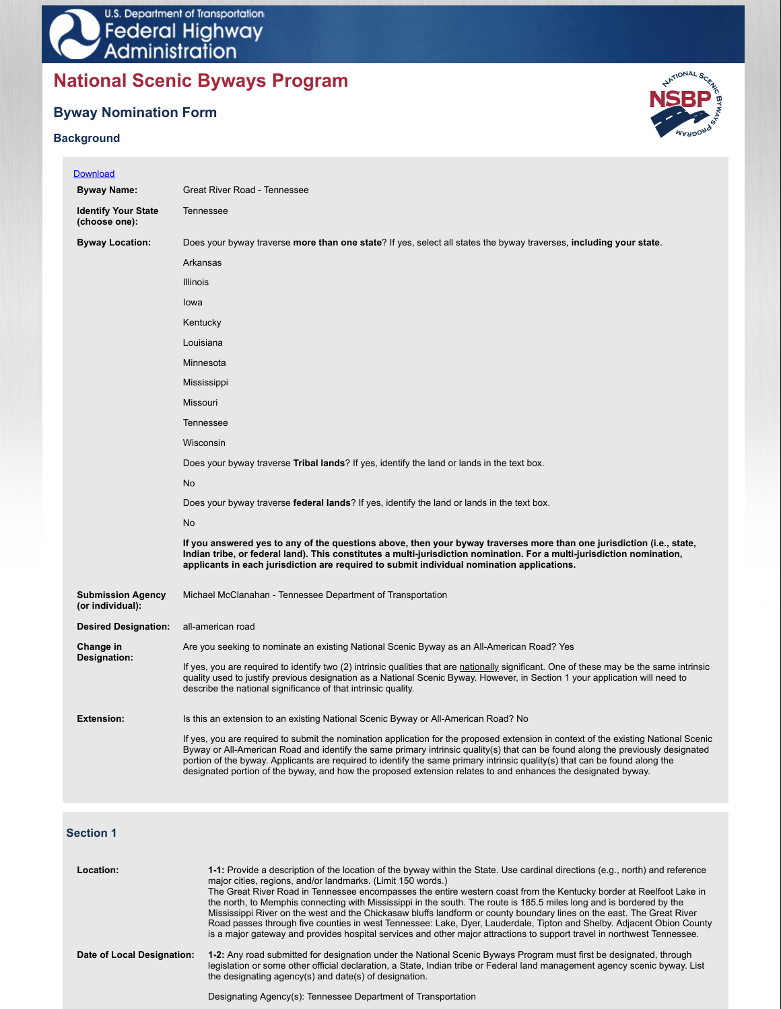# **National Scenic Byways Program**

# **Byway Nomination Form**

# **Background**



| <b>Download</b>                              |                                                                                                                                                                                                                                                                                                                                                                                                                                                                                                                        |
|----------------------------------------------|------------------------------------------------------------------------------------------------------------------------------------------------------------------------------------------------------------------------------------------------------------------------------------------------------------------------------------------------------------------------------------------------------------------------------------------------------------------------------------------------------------------------|
| <b>Byway Name:</b>                           | Great River Road - Tennessee                                                                                                                                                                                                                                                                                                                                                                                                                                                                                           |
| <b>Identify Your State</b><br>(choose one):  | Tennessee                                                                                                                                                                                                                                                                                                                                                                                                                                                                                                              |
| <b>Byway Location:</b>                       | Does your byway traverse more than one state? If yes, select all states the byway traverses, including your state.                                                                                                                                                                                                                                                                                                                                                                                                     |
|                                              | Arkansas                                                                                                                                                                                                                                                                                                                                                                                                                                                                                                               |
|                                              | <b>Illinois</b>                                                                                                                                                                                                                                                                                                                                                                                                                                                                                                        |
|                                              | lowa                                                                                                                                                                                                                                                                                                                                                                                                                                                                                                                   |
|                                              | Kentucky                                                                                                                                                                                                                                                                                                                                                                                                                                                                                                               |
|                                              | Louisiana                                                                                                                                                                                                                                                                                                                                                                                                                                                                                                              |
|                                              | Minnesota                                                                                                                                                                                                                                                                                                                                                                                                                                                                                                              |
|                                              | Mississippi                                                                                                                                                                                                                                                                                                                                                                                                                                                                                                            |
|                                              | <b>Missouri</b>                                                                                                                                                                                                                                                                                                                                                                                                                                                                                                        |
|                                              | <b>Tennessee</b>                                                                                                                                                                                                                                                                                                                                                                                                                                                                                                       |
|                                              | Wisconsin                                                                                                                                                                                                                                                                                                                                                                                                                                                                                                              |
|                                              | Does your byway traverse <b>Tribal lands</b> ? If yes, identify the land or lands in the text box.                                                                                                                                                                                                                                                                                                                                                                                                                     |
|                                              | No                                                                                                                                                                                                                                                                                                                                                                                                                                                                                                                     |
|                                              | Does your byway traverse federal lands? If yes, identify the land or lands in the text box.                                                                                                                                                                                                                                                                                                                                                                                                                            |
|                                              | <b>No</b>                                                                                                                                                                                                                                                                                                                                                                                                                                                                                                              |
|                                              | If you answered yes to any of the questions above, then your byway traverses more than one jurisdiction (i.e., state,<br>Indian tribe, or federal land). This constitutes a multi-jurisdiction nomination. For a multi-jurisdiction nomination,<br>applicants in each jurisdiction are required to submit individual nomination applications.                                                                                                                                                                          |
| <b>Submission Agency</b><br>(or individual): | Michael McClanahan - Tennessee Department of Transportation                                                                                                                                                                                                                                                                                                                                                                                                                                                            |
| <b>Desired Designation:</b>                  | all-american road                                                                                                                                                                                                                                                                                                                                                                                                                                                                                                      |
| Change in                                    | Are you seeking to nominate an existing National Scenic Byway as an All-American Road? Yes                                                                                                                                                                                                                                                                                                                                                                                                                             |
| Designation:                                 | If yes, you are required to identify two (2) intrinsic qualities that are nationally significant. One of these may be the same intrinsic<br>quality used to justify previous designation as a National Scenic Byway. However, in Section 1 your application will need to<br>describe the national significance of that intrinsic quality.                                                                                                                                                                              |
| <b>Extension:</b>                            | Is this an extension to an existing National Scenic Byway or All-American Road? No                                                                                                                                                                                                                                                                                                                                                                                                                                     |
|                                              | If yes, you are required to submit the nomination application for the proposed extension in context of the existing National Scenic<br>Byway or All-American Road and identify the same primary intrinsic quality(s) that can be found along the previously designated<br>portion of the byway. Applicants are required to identify the same primary intrinsic quality(s) that can be found along the<br>designated portion of the byway, and how the proposed extension relates to and enhances the designated byway. |

# **Section 1**

| Location:                  | 1-1: Provide a description of the location of the byway within the State. Use cardinal directions (e.g., north) and reference<br>major cities, regions, and/or landmarks. (Limit 150 words.)<br>The Great River Road in Tennessee encompasses the entire western coast from the Kentucky border at Reelfoot Lake in<br>the north, to Memphis connecting with Mississippi in the south. The route is 185.5 miles long and is bordered by the<br>Mississippi River on the west and the Chickasaw bluffs landform or county boundary lines on the east. The Great River<br>Road passes through five counties in west Tennessee: Lake, Dyer, Lauderdale, Tipton and Shelby. Adjacent Obion County<br>is a major gateway and provides hospital services and other major attractions to support travel in northwest Tennessee. |
|----------------------------|--------------------------------------------------------------------------------------------------------------------------------------------------------------------------------------------------------------------------------------------------------------------------------------------------------------------------------------------------------------------------------------------------------------------------------------------------------------------------------------------------------------------------------------------------------------------------------------------------------------------------------------------------------------------------------------------------------------------------------------------------------------------------------------------------------------------------|
| Date of Local Designation: | 1-2: Any road submitted for designation under the National Scenic Byways Program must first be designated, through<br>legislation or some other official declaration, a State, Indian tribe or Federal land management agency scenic byway. List<br>the designating agency(s) and date(s) of designation.<br>Designating Agency(s): Tennessee Department of Transportation                                                                                                                                                                                                                                                                                                                                                                                                                                               |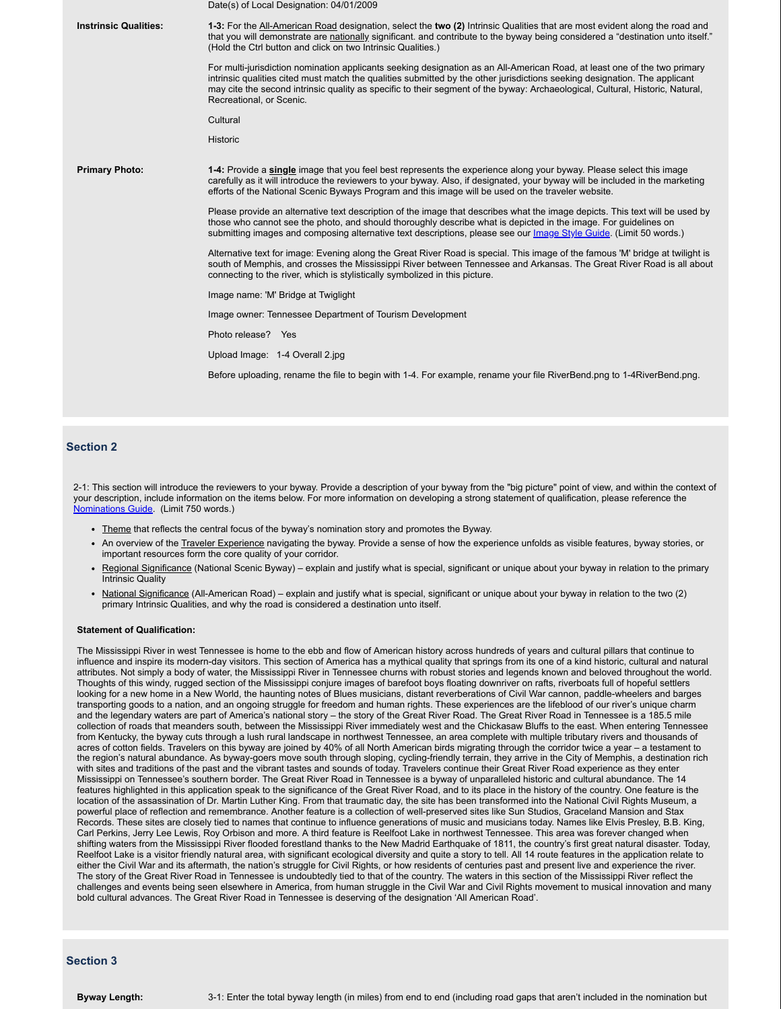|                              | Date(s) of Local Designation: 04/01/2009                                                                                                                                                                                                                                                                                                                                                                             |
|------------------------------|----------------------------------------------------------------------------------------------------------------------------------------------------------------------------------------------------------------------------------------------------------------------------------------------------------------------------------------------------------------------------------------------------------------------|
| <b>Instrinsic Qualities:</b> | 1-3: For the All-American Road designation, select the two (2) Intrinsic Qualities that are most evident along the road and<br>that you will demonstrate are nationally significant, and contribute to the byway being considered a "destination unto itself."<br>(Hold the Ctrl button and click on two Intrinsic Qualities.)                                                                                       |
|                              | For multi-jurisdiction nomination applicants seeking designation as an All-American Road, at least one of the two primary<br>intrinsic qualities cited must match the qualities submitted by the other jurisdictions seeking designation. The applicant<br>may cite the second intrinsic quality as specific to their segment of the byway: Archaeological, Cultural, Historic, Natural,<br>Recreational, or Scenic. |
|                              | Cultural                                                                                                                                                                                                                                                                                                                                                                                                             |
|                              | Historic                                                                                                                                                                                                                                                                                                                                                                                                             |
| <b>Primary Photo:</b>        | 1-4: Provide a single image that you feel best represents the experience along your byway. Please select this image<br>carefully as it will introduce the reviewers to your byway. Also, if designated, your byway will be included in the marketing<br>efforts of the National Scenic Byways Program and this image will be used on the traveler website.                                                           |
|                              | Please provide an alternative text description of the image that describes what the image depicts. This text will be used by<br>those who cannot see the photo, and should thoroughly describe what is depicted in the image. For guidelines on<br>submitting images and composing alternative text descriptions, please see our Image Style Guide. (Limit 50 words.)                                                |
|                              | Alternative text for image: Evening along the Great River Road is special. This image of the famous 'M' bridge at twilight is<br>south of Memphis, and crosses the Mississippi River between Tennessee and Arkansas. The Great River Road is all about<br>connecting to the river, which is stylistically symbolized in this picture.                                                                                |
|                              | Image name: 'M' Bridge at Twiglight                                                                                                                                                                                                                                                                                                                                                                                  |
|                              | Image owner: Tennessee Department of Tourism Development                                                                                                                                                                                                                                                                                                                                                             |
|                              | Photo release? Yes                                                                                                                                                                                                                                                                                                                                                                                                   |
|                              | Upload Image: 1-4 Overall 2.jpg                                                                                                                                                                                                                                                                                                                                                                                      |
|                              | Before uploading, rename the file to begin with 1-4. For example, rename your file RiverBend.png to 1-4RiverBend.png.                                                                                                                                                                                                                                                                                                |
|                              |                                                                                                                                                                                                                                                                                                                                                                                                                      |
|                              |                                                                                                                                                                                                                                                                                                                                                                                                                      |

# **Section 2**

2-1: This section will introduce the reviewers to your byway. Provide a description of your byway from the "big picture" point of view, and within the context of your description, include information on the items below. For more information on developing a strong statement of qualification, please reference the Nominations Guide. (Limit 750 words.)

- Theme that reflects the central focus of the byway's nomination story and promotes the Byway.
- An overview of the Traveler Experience navigating the byway. Provide a sense of how the experience unfolds as visible features, byway stories, or important resources form the core quality of your corridor.
- Regional Significance (National Scenic Byway) explain and justify what is special, significant or unique about your byway in relation to the primary Intrinsic Quality
- National Significance (All-American Road) explain and justify what is special, significant or unique about your byway in relation to the two (2) primary Intrinsic Qualities, and why the road is considered a destination unto itself.

#### **Statement of Qualification:**

The Mississippi River in west Tennessee is home to the ebb and flow of American history across hundreds of years and cultural pillars that continue to influence and inspire its modern-day visitors. This section of America has a mythical quality that springs from its one of a kind historic, cultural and natural attributes. Not simply a body of water, the Mississippi River in Tennessee churns with robust stories and legends known and beloved throughout the world. Thoughts of this windy, rugged section of the Mississippi conjure images of barefoot boys floating downriver on rafts, riverboats full of hopeful settlers looking for a new home in a New World, the haunting notes of Blues musicians, distant reverberations of Civil War cannon, paddle-wheelers and barges transporting goods to a nation, and an ongoing struggle for freedom and human rights. These experiences are the lifeblood of our river's unique charm and the legendary waters are part of America's national story – the story of the Great River Road. The Great River Road in Tennessee is a 185.5 mile collection of roads that meanders south, between the Mississippi River immediately west and the Chickasaw Bluffs to the east. When entering Tennessee from Kentucky, the byway cuts through a lush rural landscape in northwest Tennessee, an area complete with multiple tributary rivers and thousands of acres of cotton fields. Travelers on this byway are joined by 40% of all North American birds migrating through the corridor twice a year – a testament to the region's natural abundance. As byway-goers move south through sloping, cycling-friendly terrain, they arrive in the City of Memphis, a destination rich with sites and traditions of the past and the vibrant tastes and sounds of today. Travelers continue their Great River Road experience as they enter Mississippi on Tennessee's southern border. The Great River Road in Tennessee is a byway of unparalleled historic and cultural abundance. The 14 features highlighted in this application speak to the significance of the Great River Road, and to its place in the history of the country. One feature is the location of the assassination of Dr. Martin Luther King. From that traumatic day, the site has been transformed into the National Civil Rights Museum, a powerful place of reflection and remembrance. Another feature is a collection of well-preserved sites like Sun Studios, Graceland Mansion and Stax Records. These sites are closely tied to names that continue to influence generations of music and musicians today. Names like Elvis Presley, B.B. King, Carl Perkins, Jerry Lee Lewis, Roy Orbison and more. A third feature is Reelfoot Lake in northwest Tennessee. This area was forever changed when shifting waters from the Mississippi River flooded forestland thanks to the New Madrid Earthquake of 1811, the country's first great natural disaster. Today, Reelfoot Lake is a visitor friendly natural area, with significant ecological diversity and quite a story to tell. All 14 route features in the application relate to either the Civil War and its aftermath, the nation's struggle for Civil Rights, or how residents of centuries past and present live and experience the river. The story of the Great River Road in Tennessee is undoubtedly tied to that of the country. The waters in this section of the Mississippi River reflect the challenges and events being seen elsewhere in America, from human struggle in the Civil War and Civil Rights movement to musical innovation and many bold cultural advances. The Great River Road in Tennessee is deserving of the designation 'All American Road'.

## **Section 3**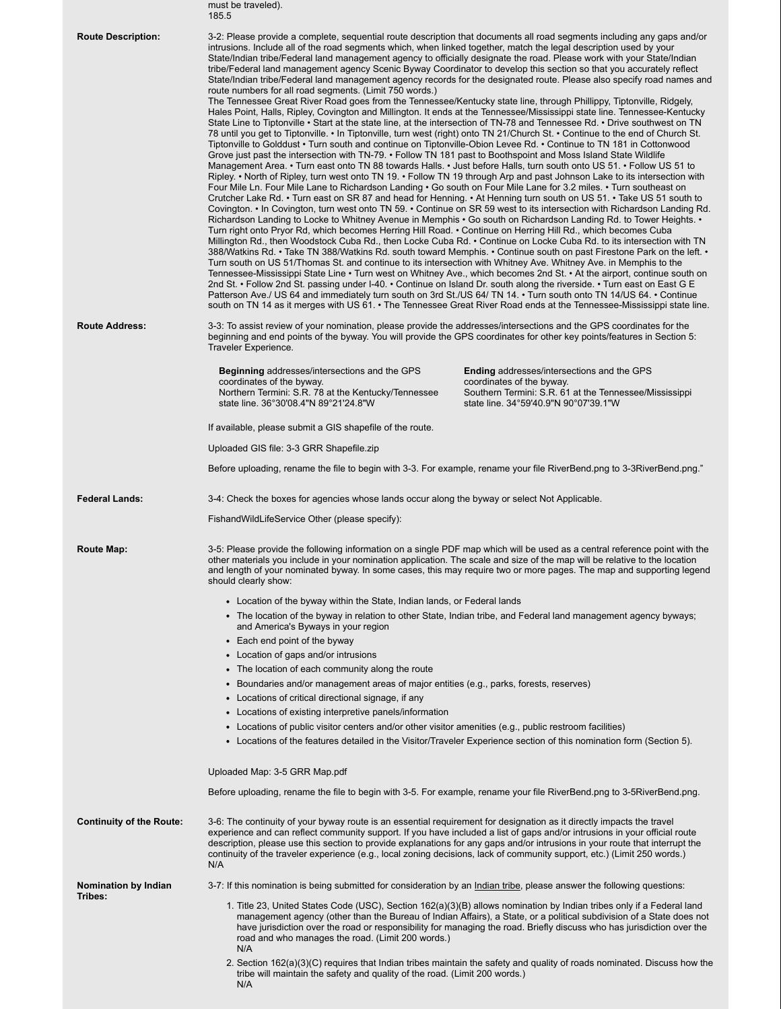|                                 | must be traveled).<br>185.5                                                                                                                                                                                                                                                                                                                                                                                                                                                                                                                                                                                                                                                                                                                                                                                                                                                                                                                                                                                                                                                                                                                                                                                                                                                                                                                                                                                                                                                                                                                                                                                                                                                                                                                                                                                                                                                                                                                                                                                                                                                                                                                                                                                                                                                                                                                                                                                                                                                                                                                                                                                                                                                                                                                                                                                                                                                                                                                                                                                                                                                                                                                                                                                |
|---------------------------------|------------------------------------------------------------------------------------------------------------------------------------------------------------------------------------------------------------------------------------------------------------------------------------------------------------------------------------------------------------------------------------------------------------------------------------------------------------------------------------------------------------------------------------------------------------------------------------------------------------------------------------------------------------------------------------------------------------------------------------------------------------------------------------------------------------------------------------------------------------------------------------------------------------------------------------------------------------------------------------------------------------------------------------------------------------------------------------------------------------------------------------------------------------------------------------------------------------------------------------------------------------------------------------------------------------------------------------------------------------------------------------------------------------------------------------------------------------------------------------------------------------------------------------------------------------------------------------------------------------------------------------------------------------------------------------------------------------------------------------------------------------------------------------------------------------------------------------------------------------------------------------------------------------------------------------------------------------------------------------------------------------------------------------------------------------------------------------------------------------------------------------------------------------------------------------------------------------------------------------------------------------------------------------------------------------------------------------------------------------------------------------------------------------------------------------------------------------------------------------------------------------------------------------------------------------------------------------------------------------------------------------------------------------------------------------------------------------------------------------------------------------------------------------------------------------------------------------------------------------------------------------------------------------------------------------------------------------------------------------------------------------------------------------------------------------------------------------------------------------------------------------------------------------------------------------------------------------|
| <b>Route Description:</b>       | 3-2: Please provide a complete, sequential route description that documents all road segments including any gaps and/or<br>intrusions. Include all of the road segments which, when linked together, match the legal description used by your<br>State/Indian tribe/Federal land management agency to officially designate the road. Please work with your State/Indian<br>tribe/Federal land management agency Scenic Byway Coordinator to develop this section so that you accurately reflect<br>State/Indian tribe/Federal land management agency records for the designated route. Please also specify road names and<br>route numbers for all road segments. (Limit 750 words.)<br>The Tennessee Great River Road goes from the Tennessee/Kentucky state line, through Phillippy, Tiptonville, Ridgely,<br>Hales Point, Halls, Ripley, Covington and Millington. It ends at the Tennessee/Mississippi state line. Tennessee-Kentucky<br>State Line to Tiptonville • Start at the state line, at the intersection of TN-78 and Tennessee Rd. • Drive southwest on TN<br>78 until you get to Tiptonville. • In Tiptonville, turn west (right) onto TN 21/Church St. • Continue to the end of Church St.<br>Tiptonville to Golddust • Turn south and continue on Tiptonville-Obion Levee Rd. • Continue to TN 181 in Cottonwood<br>Grove just past the intersection with TN-79. • Follow TN 181 past to Boothspoint and Moss Island State Wildlife<br>Management Area. • Turn east onto TN 88 towards Halls. • Just before Halls, turn south onto US 51. • Follow US 51 to<br>Ripley. • North of Ripley, turn west onto TN 19. • Follow TN 19 through Arp and past Johnson Lake to its intersection with<br>Four Mile Ln. Four Mile Lane to Richardson Landing • Go south on Four Mile Lane for 3.2 miles. • Turn southeast on<br>Crutcher Lake Rd. • Turn east on SR 87 and head for Henning. • At Henning turn south on US 51. • Take US 51 south to<br>Covington. • In Covington, turn west onto TN 59. • Continue on SR 59 west to its intersection with Richardson Landing Rd.<br>Richardson Landing to Locke to Whitney Avenue in Memphis • Go south on Richardson Landing Rd. to Tower Heights. •<br>Turn right onto Pryor Rd, which becomes Herring Hill Road. • Continue on Herring Hill Rd., which becomes Cuba<br>Millington Rd., then Woodstock Cuba Rd., then Locke Cuba Rd. • Continue on Locke Cuba Rd. to its intersection with TN<br>388/Watkins Rd. • Take TN 388/Watkins Rd. south toward Memphis. • Continue south on past Firestone Park on the left. •<br>Turn south on US 51/Thomas St. and continue to its intersection with Whitney Ave. Whitney Ave. in Memphis to the<br>Tennessee-Mississippi State Line • Turn west on Whitney Ave., which becomes 2nd St. • At the airport, continue south on<br>2nd St. • Follow 2nd St. passing under I-40. • Continue on Island Dr. south along the riverside. • Turn east on East G E<br>Patterson Ave./ US 64 and immediately turn south on 3rd St./US 64/ TN 14. • Turn south onto TN 14/US 64. • Continue<br>south on TN 14 as it merges with US 61. • The Tennessee Great River Road ends at the Tennessee-Mississippi state line. |
| <b>Route Address:</b>           | 3-3: To assist review of your nomination, please provide the addresses/intersections and the GPS coordinates for the<br>beginning and end points of the byway. You will provide the GPS coordinates for other key points/features in Section 5:<br>Traveler Experience.                                                                                                                                                                                                                                                                                                                                                                                                                                                                                                                                                                                                                                                                                                                                                                                                                                                                                                                                                                                                                                                                                                                                                                                                                                                                                                                                                                                                                                                                                                                                                                                                                                                                                                                                                                                                                                                                                                                                                                                                                                                                                                                                                                                                                                                                                                                                                                                                                                                                                                                                                                                                                                                                                                                                                                                                                                                                                                                                    |
|                                 | <b>Beginning addresses/intersections and the GPS</b><br><b>Ending</b> addresses/intersections and the GPS<br>coordinates of the byway.<br>coordinates of the byway.<br>Northern Termini: S.R. 78 at the Kentucky/Tennessee<br>Southern Termini: S.R. 61 at the Tennessee/Mississippi<br>state line. 36°30'08.4"N 89°21'24.8"W<br>state line. 34°59'40.9"N 90°07'39.1"W                                                                                                                                                                                                                                                                                                                                                                                                                                                                                                                                                                                                                                                                                                                                                                                                                                                                                                                                                                                                                                                                                                                                                                                                                                                                                                                                                                                                                                                                                                                                                                                                                                                                                                                                                                                                                                                                                                                                                                                                                                                                                                                                                                                                                                                                                                                                                                                                                                                                                                                                                                                                                                                                                                                                                                                                                                     |
|                                 | If available, please submit a GIS shapefile of the route.                                                                                                                                                                                                                                                                                                                                                                                                                                                                                                                                                                                                                                                                                                                                                                                                                                                                                                                                                                                                                                                                                                                                                                                                                                                                                                                                                                                                                                                                                                                                                                                                                                                                                                                                                                                                                                                                                                                                                                                                                                                                                                                                                                                                                                                                                                                                                                                                                                                                                                                                                                                                                                                                                                                                                                                                                                                                                                                                                                                                                                                                                                                                                  |
|                                 | Uploaded GIS file: 3-3 GRR Shapefile.zip                                                                                                                                                                                                                                                                                                                                                                                                                                                                                                                                                                                                                                                                                                                                                                                                                                                                                                                                                                                                                                                                                                                                                                                                                                                                                                                                                                                                                                                                                                                                                                                                                                                                                                                                                                                                                                                                                                                                                                                                                                                                                                                                                                                                                                                                                                                                                                                                                                                                                                                                                                                                                                                                                                                                                                                                                                                                                                                                                                                                                                                                                                                                                                   |
|                                 | Before uploading, rename the file to begin with 3-3. For example, rename your file RiverBend.png to 3-3RiverBend.png."                                                                                                                                                                                                                                                                                                                                                                                                                                                                                                                                                                                                                                                                                                                                                                                                                                                                                                                                                                                                                                                                                                                                                                                                                                                                                                                                                                                                                                                                                                                                                                                                                                                                                                                                                                                                                                                                                                                                                                                                                                                                                                                                                                                                                                                                                                                                                                                                                                                                                                                                                                                                                                                                                                                                                                                                                                                                                                                                                                                                                                                                                     |
|                                 |                                                                                                                                                                                                                                                                                                                                                                                                                                                                                                                                                                                                                                                                                                                                                                                                                                                                                                                                                                                                                                                                                                                                                                                                                                                                                                                                                                                                                                                                                                                                                                                                                                                                                                                                                                                                                                                                                                                                                                                                                                                                                                                                                                                                                                                                                                                                                                                                                                                                                                                                                                                                                                                                                                                                                                                                                                                                                                                                                                                                                                                                                                                                                                                                            |
| <b>Federal Lands:</b>           | 3-4: Check the boxes for agencies whose lands occur along the byway or select Not Applicable.                                                                                                                                                                                                                                                                                                                                                                                                                                                                                                                                                                                                                                                                                                                                                                                                                                                                                                                                                                                                                                                                                                                                                                                                                                                                                                                                                                                                                                                                                                                                                                                                                                                                                                                                                                                                                                                                                                                                                                                                                                                                                                                                                                                                                                                                                                                                                                                                                                                                                                                                                                                                                                                                                                                                                                                                                                                                                                                                                                                                                                                                                                              |
|                                 | FishandWildLifeService Other (please specify):                                                                                                                                                                                                                                                                                                                                                                                                                                                                                                                                                                                                                                                                                                                                                                                                                                                                                                                                                                                                                                                                                                                                                                                                                                                                                                                                                                                                                                                                                                                                                                                                                                                                                                                                                                                                                                                                                                                                                                                                                                                                                                                                                                                                                                                                                                                                                                                                                                                                                                                                                                                                                                                                                                                                                                                                                                                                                                                                                                                                                                                                                                                                                             |
| Route Map:                      | 3-5: Please provide the following information on a single PDF map which will be used as a central reference point with the<br>other materials you include in your nomination application. The scale and size of the map will be relative to the location<br>and length of your nominated byway. In some cases, this may require two or more pages. The map and supporting legend<br>should clearly show:                                                                                                                                                                                                                                                                                                                                                                                                                                                                                                                                                                                                                                                                                                                                                                                                                                                                                                                                                                                                                                                                                                                                                                                                                                                                                                                                                                                                                                                                                                                                                                                                                                                                                                                                                                                                                                                                                                                                                                                                                                                                                                                                                                                                                                                                                                                                                                                                                                                                                                                                                                                                                                                                                                                                                                                                   |
|                                 | • Location of the byway within the State, Indian lands, or Federal lands                                                                                                                                                                                                                                                                                                                                                                                                                                                                                                                                                                                                                                                                                                                                                                                                                                                                                                                                                                                                                                                                                                                                                                                                                                                                                                                                                                                                                                                                                                                                                                                                                                                                                                                                                                                                                                                                                                                                                                                                                                                                                                                                                                                                                                                                                                                                                                                                                                                                                                                                                                                                                                                                                                                                                                                                                                                                                                                                                                                                                                                                                                                                   |
|                                 | • The location of the byway in relation to other State, Indian tribe, and Federal land management agency byways;<br>and America's Byways in your region                                                                                                                                                                                                                                                                                                                                                                                                                                                                                                                                                                                                                                                                                                                                                                                                                                                                                                                                                                                                                                                                                                                                                                                                                                                                                                                                                                                                                                                                                                                                                                                                                                                                                                                                                                                                                                                                                                                                                                                                                                                                                                                                                                                                                                                                                                                                                                                                                                                                                                                                                                                                                                                                                                                                                                                                                                                                                                                                                                                                                                                    |
|                                 | • Each end point of the byway                                                                                                                                                                                                                                                                                                                                                                                                                                                                                                                                                                                                                                                                                                                                                                                                                                                                                                                                                                                                                                                                                                                                                                                                                                                                                                                                                                                                                                                                                                                                                                                                                                                                                                                                                                                                                                                                                                                                                                                                                                                                                                                                                                                                                                                                                                                                                                                                                                                                                                                                                                                                                                                                                                                                                                                                                                                                                                                                                                                                                                                                                                                                                                              |
|                                 | • Location of gaps and/or intrusions                                                                                                                                                                                                                                                                                                                                                                                                                                                                                                                                                                                                                                                                                                                                                                                                                                                                                                                                                                                                                                                                                                                                                                                                                                                                                                                                                                                                                                                                                                                                                                                                                                                                                                                                                                                                                                                                                                                                                                                                                                                                                                                                                                                                                                                                                                                                                                                                                                                                                                                                                                                                                                                                                                                                                                                                                                                                                                                                                                                                                                                                                                                                                                       |
|                                 | • The location of each community along the route<br>• Boundaries and/or management areas of major entities (e.g., parks, forests, reserves)                                                                                                                                                                                                                                                                                                                                                                                                                                                                                                                                                                                                                                                                                                                                                                                                                                                                                                                                                                                                                                                                                                                                                                                                                                                                                                                                                                                                                                                                                                                                                                                                                                                                                                                                                                                                                                                                                                                                                                                                                                                                                                                                                                                                                                                                                                                                                                                                                                                                                                                                                                                                                                                                                                                                                                                                                                                                                                                                                                                                                                                                |
|                                 | • Locations of critical directional signage, if any                                                                                                                                                                                                                                                                                                                                                                                                                                                                                                                                                                                                                                                                                                                                                                                                                                                                                                                                                                                                                                                                                                                                                                                                                                                                                                                                                                                                                                                                                                                                                                                                                                                                                                                                                                                                                                                                                                                                                                                                                                                                                                                                                                                                                                                                                                                                                                                                                                                                                                                                                                                                                                                                                                                                                                                                                                                                                                                                                                                                                                                                                                                                                        |
|                                 | • Locations of existing interpretive panels/information                                                                                                                                                                                                                                                                                                                                                                                                                                                                                                                                                                                                                                                                                                                                                                                                                                                                                                                                                                                                                                                                                                                                                                                                                                                                                                                                                                                                                                                                                                                                                                                                                                                                                                                                                                                                                                                                                                                                                                                                                                                                                                                                                                                                                                                                                                                                                                                                                                                                                                                                                                                                                                                                                                                                                                                                                                                                                                                                                                                                                                                                                                                                                    |
|                                 | • Locations of public visitor centers and/or other visitor amenities (e.g., public restroom facilities)<br>• Locations of the features detailed in the Visitor/Traveler Experience section of this nomination form (Section 5).                                                                                                                                                                                                                                                                                                                                                                                                                                                                                                                                                                                                                                                                                                                                                                                                                                                                                                                                                                                                                                                                                                                                                                                                                                                                                                                                                                                                                                                                                                                                                                                                                                                                                                                                                                                                                                                                                                                                                                                                                                                                                                                                                                                                                                                                                                                                                                                                                                                                                                                                                                                                                                                                                                                                                                                                                                                                                                                                                                            |
|                                 | Uploaded Map: 3-5 GRR Map.pdf                                                                                                                                                                                                                                                                                                                                                                                                                                                                                                                                                                                                                                                                                                                                                                                                                                                                                                                                                                                                                                                                                                                                                                                                                                                                                                                                                                                                                                                                                                                                                                                                                                                                                                                                                                                                                                                                                                                                                                                                                                                                                                                                                                                                                                                                                                                                                                                                                                                                                                                                                                                                                                                                                                                                                                                                                                                                                                                                                                                                                                                                                                                                                                              |
|                                 | Before uploading, rename the file to begin with 3-5. For example, rename your file RiverBend.png to 3-5RiverBend.png.                                                                                                                                                                                                                                                                                                                                                                                                                                                                                                                                                                                                                                                                                                                                                                                                                                                                                                                                                                                                                                                                                                                                                                                                                                                                                                                                                                                                                                                                                                                                                                                                                                                                                                                                                                                                                                                                                                                                                                                                                                                                                                                                                                                                                                                                                                                                                                                                                                                                                                                                                                                                                                                                                                                                                                                                                                                                                                                                                                                                                                                                                      |
| <b>Continuity of the Route:</b> | 3-6: The continuity of your byway route is an essential requirement for designation as it directly impacts the travel<br>experience and can reflect community support. If you have included a list of gaps and/or intrusions in your official route<br>description, please use this section to provide explanations for any gaps and/or intrusions in your route that interrupt the<br>continuity of the traveler experience (e.g., local zoning decisions, lack of community support, etc.) (Limit 250 words.)<br>N/A                                                                                                                                                                                                                                                                                                                                                                                                                                                                                                                                                                                                                                                                                                                                                                                                                                                                                                                                                                                                                                                                                                                                                                                                                                                                                                                                                                                                                                                                                                                                                                                                                                                                                                                                                                                                                                                                                                                                                                                                                                                                                                                                                                                                                                                                                                                                                                                                                                                                                                                                                                                                                                                                                     |
| Nomination by Indian            | 3-7: If this nomination is being submitted for consideration by an <i>Indian tribe</i> , please answer the following questions:                                                                                                                                                                                                                                                                                                                                                                                                                                                                                                                                                                                                                                                                                                                                                                                                                                                                                                                                                                                                                                                                                                                                                                                                                                                                                                                                                                                                                                                                                                                                                                                                                                                                                                                                                                                                                                                                                                                                                                                                                                                                                                                                                                                                                                                                                                                                                                                                                                                                                                                                                                                                                                                                                                                                                                                                                                                                                                                                                                                                                                                                            |
| Tribes:                         | 1. Title 23, United States Code (USC), Section 162(a)(3)(B) allows nomination by Indian tribes only if a Federal land<br>management agency (other than the Bureau of Indian Affairs), a State, or a political subdivision of a State does not<br>have jurisdiction over the road or responsibility for managing the road. Briefly discuss who has jurisdiction over the<br>road and who manages the road. (Limit 200 words.)                                                                                                                                                                                                                                                                                                                                                                                                                                                                                                                                                                                                                                                                                                                                                                                                                                                                                                                                                                                                                                                                                                                                                                                                                                                                                                                                                                                                                                                                                                                                                                                                                                                                                                                                                                                                                                                                                                                                                                                                                                                                                                                                                                                                                                                                                                                                                                                                                                                                                                                                                                                                                                                                                                                                                                               |
|                                 | N/A<br>2. Section 162(a)(3)(C) requires that Indian tribes maintain the safety and quality of roads nominated. Discuss how the<br>tribe will maintain the safety and quality of the road. (Limit 200 words.)<br>N/A                                                                                                                                                                                                                                                                                                                                                                                                                                                                                                                                                                                                                                                                                                                                                                                                                                                                                                                                                                                                                                                                                                                                                                                                                                                                                                                                                                                                                                                                                                                                                                                                                                                                                                                                                                                                                                                                                                                                                                                                                                                                                                                                                                                                                                                                                                                                                                                                                                                                                                                                                                                                                                                                                                                                                                                                                                                                                                                                                                                        |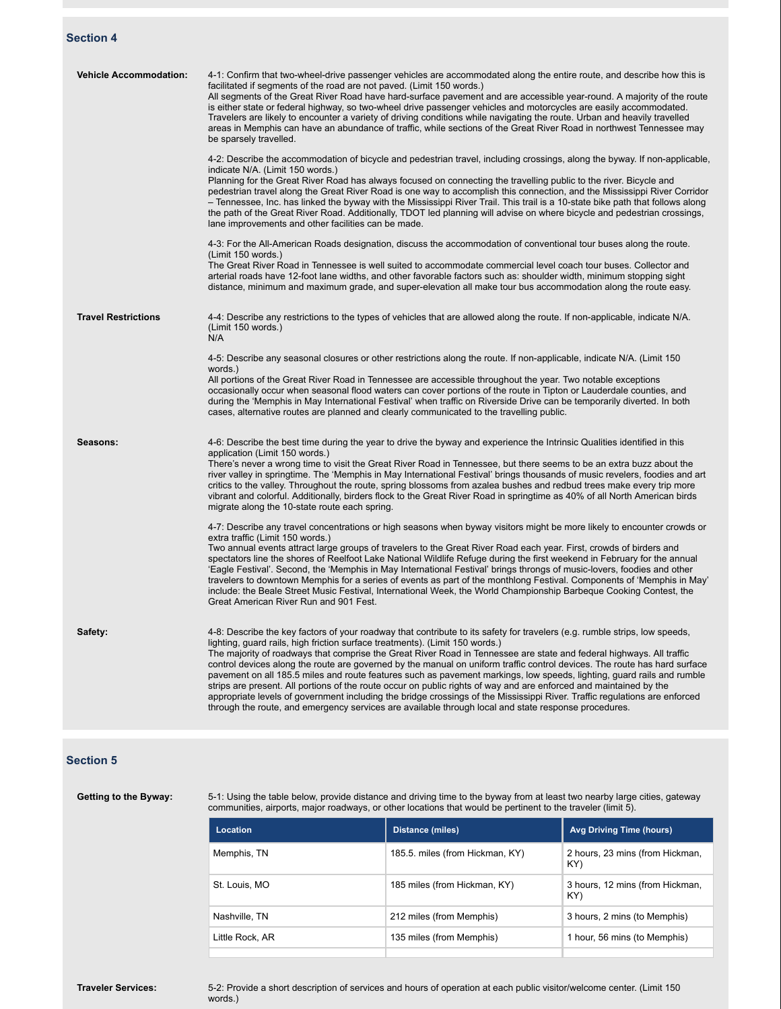# **Section 4**

| <b>Vehicle Accommodation:</b> | 4-1: Confirm that two-wheel-drive passenger vehicles are accommodated along the entire route, and describe how this is<br>facilitated if segments of the road are not paved. (Limit 150 words.)<br>All segments of the Great River Road have hard-surface pavement and are accessible year-round. A majority of the route<br>is either state or federal highway, so two-wheel drive passenger vehicles and motorcycles are easily accommodated.<br>Travelers are likely to encounter a variety of driving conditions while navigating the route. Urban and heavily travelled<br>areas in Memphis can have an abundance of traffic, while sections of the Great River Road in northwest Tennessee may<br>be sparsely travelled.                                                                                                                                                                                                                        |
|-------------------------------|-------------------------------------------------------------------------------------------------------------------------------------------------------------------------------------------------------------------------------------------------------------------------------------------------------------------------------------------------------------------------------------------------------------------------------------------------------------------------------------------------------------------------------------------------------------------------------------------------------------------------------------------------------------------------------------------------------------------------------------------------------------------------------------------------------------------------------------------------------------------------------------------------------------------------------------------------------|
|                               | 4-2: Describe the accommodation of bicycle and pedestrian travel, including crossings, along the byway. If non-applicable,<br>indicate N/A. (Limit 150 words.)<br>Planning for the Great River Road has always focused on connecting the travelling public to the river. Bicycle and<br>pedestrian travel along the Great River Road is one way to accomplish this connection, and the Mississippi River Corridor<br>- Tennessee, Inc. has linked the byway with the Mississippi River Trail. This trail is a 10-state bike path that follows along<br>the path of the Great River Road. Additionally, TDOT led planning will advise on where bicycle and pedestrian crossings,<br>lane improvements and other facilities can be made.                                                                                                                                                                                                                |
|                               | 4-3: For the All-American Roads designation, discuss the accommodation of conventional tour buses along the route.<br>(Limit 150 words.)<br>The Great River Road in Tennessee is well suited to accommodate commercial level coach tour buses. Collector and<br>arterial roads have 12-foot lane widths, and other favorable factors such as: shoulder width, minimum stopping sight<br>distance, minimum and maximum grade, and super-elevation all make tour bus accommodation along the route easy.                                                                                                                                                                                                                                                                                                                                                                                                                                                |
| <b>Travel Restrictions</b>    | 4-4: Describe any restrictions to the types of vehicles that are allowed along the route. If non-applicable, indicate N/A.<br>(Limit 150 words.)<br>N/A                                                                                                                                                                                                                                                                                                                                                                                                                                                                                                                                                                                                                                                                                                                                                                                               |
|                               | 4-5: Describe any seasonal closures or other restrictions along the route. If non-applicable, indicate N/A. (Limit 150<br>words.)<br>All portions of the Great River Road in Tennessee are accessible throughout the year. Two notable exceptions<br>occasionally occur when seasonal flood waters can cover portions of the route in Tipton or Lauderdale counties, and<br>during the 'Memphis in May International Festival' when traffic on Riverside Drive can be temporarily diverted. In both<br>cases, alternative routes are planned and clearly communicated to the travelling public.                                                                                                                                                                                                                                                                                                                                                       |
| Seasons:                      | 4-6: Describe the best time during the year to drive the byway and experience the Intrinsic Qualities identified in this<br>application (Limit 150 words.)<br>There's never a wrong time to visit the Great River Road in Tennessee, but there seems to be an extra buzz about the<br>river valley in springtime. The 'Memphis in May International Festival' brings thousands of music revelers, foodies and art<br>critics to the valley. Throughout the route, spring blossoms from azalea bushes and redbud trees make every trip more<br>vibrant and colorful. Additionally, birders flock to the Great River Road in springtime as 40% of all North American birds<br>migrate along the 10-state route each spring.                                                                                                                                                                                                                             |
|                               | 4-7: Describe any travel concentrations or high seasons when byway visitors might be more likely to encounter crowds or<br>extra traffic (Limit 150 words.)<br>Two annual events attract large groups of travelers to the Great River Road each year. First, crowds of birders and<br>spectators line the shores of Reelfoot Lake National Wildlife Refuge during the first weekend in February for the annual<br>'Eagle Festival'. Second, the 'Memphis in May International Festival' brings throngs of music-lovers, foodies and other<br>travelers to downtown Memphis for a series of events as part of the monthlong Festival. Components of 'Memphis in May'<br>include: the Beale Street Music Festival, International Week, the World Championship Barbeque Cooking Contest, the<br>Great American River Run and 901 Fest.                                                                                                                   |
| Safety:                       | 4-8: Describe the key factors of your roadway that contribute to its safety for travelers (e.g. rumble strips, low speeds,<br>lighting, guard rails, high friction surface treatments). (Limit 150 words.)<br>The majority of roadways that comprise the Great River Road in Tennessee are state and federal highways. All traffic<br>control devices along the route are governed by the manual on uniform traffic control devices. The route has hard surface<br>pavement on all 185.5 miles and route features such as pavement markings, low speeds, lighting, guard rails and rumble<br>strips are present. All portions of the route occur on public rights of way and are enforced and maintained by the<br>appropriate levels of government including the bridge crossings of the Mississippi River. Traffic regulations are enforced<br>through the route, and emergency services are available through local and state response procedures. |

# **Section 5**

Getting to the Byway:

| Location        | Distance (miles)                | <b>Avg Driving Time (hours)</b>        |
|-----------------|---------------------------------|----------------------------------------|
| Memphis, TN     | 185.5. miles (from Hickman, KY) | 2 hours, 23 mins (from Hickman,<br>KY) |
| St. Louis, MO   | 185 miles (from Hickman, KY)    | 3 hours, 12 mins (from Hickman,<br>KY) |
| Nashville, TN   | 212 miles (from Memphis)        | 3 hours, 2 mins (to Memphis)           |
| Little Rock, AR | 135 miles (from Memphis)        | 1 hour, 56 mins (to Memphis)           |

**Traveler Services:** 5-2: Provide a short description of services and hours of operation at each public visitor/welcome center. (Limit 150 words.)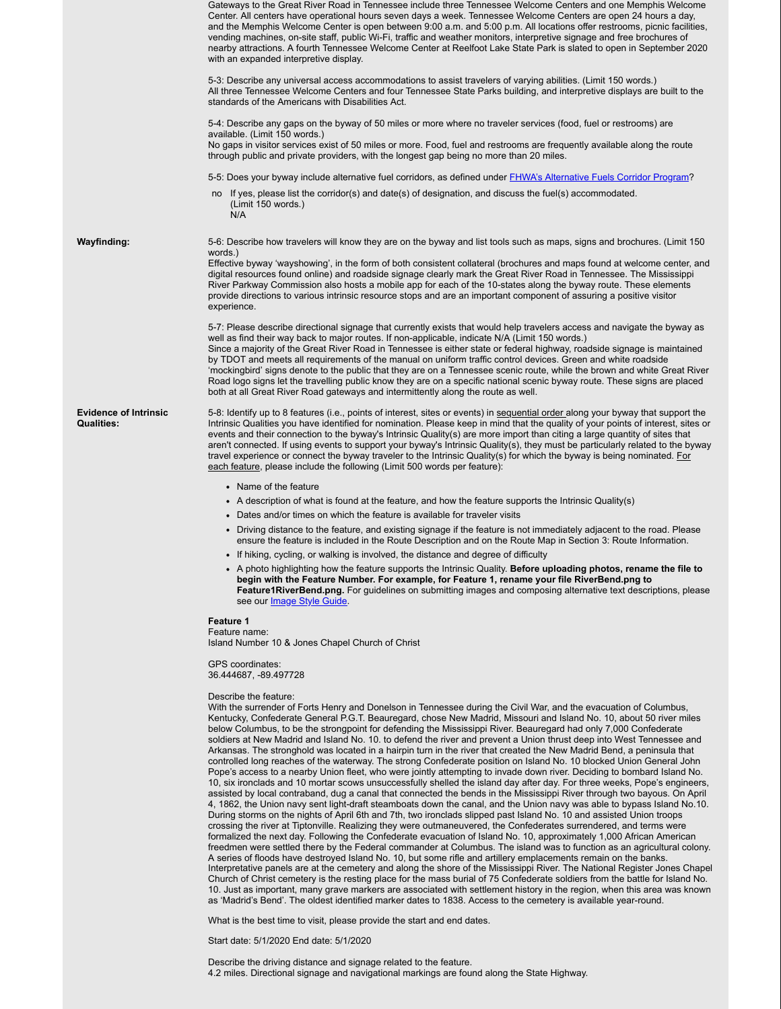|                                                   | Gateways to the Great River Road in Tennessee include three Tennessee Welcome Centers and one Memphis Welcome<br>Center. All centers have operational hours seven days a week. Tennessee Welcome Centers are open 24 hours a day,<br>and the Memphis Welcome Center is open between 9:00 a.m. and 5:00 p.m. All locations offer restrooms, picnic facilities,<br>vending machines, on-site staff, public Wi-Fi, traffic and weather monitors, interpretive signage and free brochures of<br>nearby attractions. A fourth Tennessee Welcome Center at Reelfoot Lake State Park is slated to open in September 2020<br>with an expanded interpretive display.                                                                                                                                                                                                                                                                                                                                                                                                                                                                                                                                                                                                                                                                                                                                                                                                                                                                                                                                                                                                                                                                                                                                                                                                                                         |
|---------------------------------------------------|-----------------------------------------------------------------------------------------------------------------------------------------------------------------------------------------------------------------------------------------------------------------------------------------------------------------------------------------------------------------------------------------------------------------------------------------------------------------------------------------------------------------------------------------------------------------------------------------------------------------------------------------------------------------------------------------------------------------------------------------------------------------------------------------------------------------------------------------------------------------------------------------------------------------------------------------------------------------------------------------------------------------------------------------------------------------------------------------------------------------------------------------------------------------------------------------------------------------------------------------------------------------------------------------------------------------------------------------------------------------------------------------------------------------------------------------------------------------------------------------------------------------------------------------------------------------------------------------------------------------------------------------------------------------------------------------------------------------------------------------------------------------------------------------------------------------------------------------------------------------------------------------------------|
|                                                   | 5-3: Describe any universal access accommodations to assist travelers of varying abilities. (Limit 150 words.)<br>All three Tennessee Welcome Centers and four Tennessee State Parks building, and interpretive displays are built to the<br>standards of the Americans with Disabilities Act.                                                                                                                                                                                                                                                                                                                                                                                                                                                                                                                                                                                                                                                                                                                                                                                                                                                                                                                                                                                                                                                                                                                                                                                                                                                                                                                                                                                                                                                                                                                                                                                                      |
|                                                   | 5-4: Describe any gaps on the byway of 50 miles or more where no traveler services (food, fuel or restrooms) are<br>available. (Limit 150 words.)<br>No gaps in visitor services exist of 50 miles or more. Food, fuel and restrooms are frequently available along the route<br>through public and private providers, with the longest gap being no more than 20 miles.                                                                                                                                                                                                                                                                                                                                                                                                                                                                                                                                                                                                                                                                                                                                                                                                                                                                                                                                                                                                                                                                                                                                                                                                                                                                                                                                                                                                                                                                                                                            |
|                                                   |                                                                                                                                                                                                                                                                                                                                                                                                                                                                                                                                                                                                                                                                                                                                                                                                                                                                                                                                                                                                                                                                                                                                                                                                                                                                                                                                                                                                                                                                                                                                                                                                                                                                                                                                                                                                                                                                                                     |
|                                                   | 5-5: Does your byway include alternative fuel corridors, as defined under <b>FHWA's Alternative Fuels Corridor Program?</b><br>no If yes, please list the corridor(s) and date(s) of designation, and discuss the fuel(s) accommodated.                                                                                                                                                                                                                                                                                                                                                                                                                                                                                                                                                                                                                                                                                                                                                                                                                                                                                                                                                                                                                                                                                                                                                                                                                                                                                                                                                                                                                                                                                                                                                                                                                                                             |
|                                                   | (Limit 150 words.)<br>N/A                                                                                                                                                                                                                                                                                                                                                                                                                                                                                                                                                                                                                                                                                                                                                                                                                                                                                                                                                                                                                                                                                                                                                                                                                                                                                                                                                                                                                                                                                                                                                                                                                                                                                                                                                                                                                                                                           |
| <b>Wayfinding:</b>                                | 5-6: Describe how travelers will know they are on the byway and list tools such as maps, signs and brochures. (Limit 150<br>words.)                                                                                                                                                                                                                                                                                                                                                                                                                                                                                                                                                                                                                                                                                                                                                                                                                                                                                                                                                                                                                                                                                                                                                                                                                                                                                                                                                                                                                                                                                                                                                                                                                                                                                                                                                                 |
|                                                   | Effective byway 'wayshowing', in the form of both consistent collateral (brochures and maps found at welcome center, and<br>digital resources found online) and roadside signage clearly mark the Great River Road in Tennessee. The Mississippi<br>River Parkway Commission also hosts a mobile app for each of the 10-states along the byway route. These elements<br>provide directions to various intrinsic resource stops and are an important component of assuring a positive visitor<br>experience.                                                                                                                                                                                                                                                                                                                                                                                                                                                                                                                                                                                                                                                                                                                                                                                                                                                                                                                                                                                                                                                                                                                                                                                                                                                                                                                                                                                         |
|                                                   | 5-7: Please describe directional signage that currently exists that would help travelers access and navigate the byway as<br>well as find their way back to major routes. If non-applicable, indicate N/A (Limit 150 words.)<br>Since a majority of the Great River Road in Tennessee is either state or federal highway, roadside signage is maintained<br>by TDOT and meets all requirements of the manual on uniform traffic control devices. Green and white roadside<br>'mockingbird' signs denote to the public that they are on a Tennessee scenic route, while the brown and white Great River<br>Road logo signs let the travelling public know they are on a specific national scenic byway route. These signs are placed<br>both at all Great River Road gateways and intermittently along the route as well.                                                                                                                                                                                                                                                                                                                                                                                                                                                                                                                                                                                                                                                                                                                                                                                                                                                                                                                                                                                                                                                                            |
| <b>Evidence of Intrinsic</b><br><b>Qualities:</b> | 5-8: Identify up to 8 features (i.e., points of interest, sites or events) in sequential order along your byway that support the<br>Intrinsic Qualities you have identified for nomination. Please keep in mind that the quality of your points of interest, sites or<br>events and their connection to the byway's Intrinsic Quality(s) are more import than citing a large quantity of sites that<br>aren't connected. If using events to support your byway's Intrinsic Quality(s), they must be particularly related to the byway<br>travel experience or connect the byway traveler to the Intrinsic Quality(s) for which the byway is being nominated. For<br>each feature, please include the following (Limit 500 words per feature):                                                                                                                                                                                                                                                                                                                                                                                                                                                                                                                                                                                                                                                                                                                                                                                                                                                                                                                                                                                                                                                                                                                                                       |
|                                                   | • Name of the feature                                                                                                                                                                                                                                                                                                                                                                                                                                                                                                                                                                                                                                                                                                                                                                                                                                                                                                                                                                                                                                                                                                                                                                                                                                                                                                                                                                                                                                                                                                                                                                                                                                                                                                                                                                                                                                                                               |
|                                                   | • A description of what is found at the feature, and how the feature supports the Intrinsic Quality(s)                                                                                                                                                                                                                                                                                                                                                                                                                                                                                                                                                                                                                                                                                                                                                                                                                                                                                                                                                                                                                                                                                                                                                                                                                                                                                                                                                                                                                                                                                                                                                                                                                                                                                                                                                                                              |
|                                                   | • Dates and/or times on which the feature is available for traveler visits                                                                                                                                                                                                                                                                                                                                                                                                                                                                                                                                                                                                                                                                                                                                                                                                                                                                                                                                                                                                                                                                                                                                                                                                                                                                                                                                                                                                                                                                                                                                                                                                                                                                                                                                                                                                                          |
|                                                   | • Driving distance to the feature, and existing signage if the feature is not immediately adjacent to the road. Please<br>ensure the feature is included in the Route Description and on the Route Map in Section 3: Route Information.                                                                                                                                                                                                                                                                                                                                                                                                                                                                                                                                                                                                                                                                                                                                                                                                                                                                                                                                                                                                                                                                                                                                                                                                                                                                                                                                                                                                                                                                                                                                                                                                                                                             |
|                                                   | • If hiking, cycling, or walking is involved, the distance and degree of difficulty                                                                                                                                                                                                                                                                                                                                                                                                                                                                                                                                                                                                                                                                                                                                                                                                                                                                                                                                                                                                                                                                                                                                                                                                                                                                                                                                                                                                                                                                                                                                                                                                                                                                                                                                                                                                                 |
|                                                   | • A photo highlighting how the feature supports the Intrinsic Quality. Before uploading photos, rename the file to<br>begin with the Feature Number. For example, for Feature 1, rename your file RiverBend.png to<br>Feature1RiverBend.png. For guidelines on submitting images and composing alternative text descriptions, please<br>see our Image Style Guide.                                                                                                                                                                                                                                                                                                                                                                                                                                                                                                                                                                                                                                                                                                                                                                                                                                                                                                                                                                                                                                                                                                                                                                                                                                                                                                                                                                                                                                                                                                                                  |
|                                                   | Feature 1                                                                                                                                                                                                                                                                                                                                                                                                                                                                                                                                                                                                                                                                                                                                                                                                                                                                                                                                                                                                                                                                                                                                                                                                                                                                                                                                                                                                                                                                                                                                                                                                                                                                                                                                                                                                                                                                                           |
|                                                   | Feature name:<br>Island Number 10 & Jones Chapel Church of Christ                                                                                                                                                                                                                                                                                                                                                                                                                                                                                                                                                                                                                                                                                                                                                                                                                                                                                                                                                                                                                                                                                                                                                                                                                                                                                                                                                                                                                                                                                                                                                                                                                                                                                                                                                                                                                                   |
|                                                   | <b>GPS</b> coordinates:<br>36.444687, -89.497728                                                                                                                                                                                                                                                                                                                                                                                                                                                                                                                                                                                                                                                                                                                                                                                                                                                                                                                                                                                                                                                                                                                                                                                                                                                                                                                                                                                                                                                                                                                                                                                                                                                                                                                                                                                                                                                    |
|                                                   | Describe the feature:<br>With the surrender of Forts Henry and Donelson in Tennessee during the Civil War, and the evacuation of Columbus,<br>Kentucky, Confederate General P.G.T. Beauregard, chose New Madrid, Missouri and Island No. 10, about 50 river miles<br>below Columbus, to be the strongpoint for defending the Mississippi River. Beauregard had only 7,000 Confederate<br>soldiers at New Madrid and Island No. 10, to defend the river and prevent a Union thrust deep into West Tennessee and<br>Arkansas. The stronghold was located in a hairpin turn in the river that created the New Madrid Bend, a peninsula that<br>controlled long reaches of the waterway. The strong Confederate position on Island No. 10 blocked Union General John<br>Pope's access to a nearby Union fleet, who were jointly attempting to invade down river. Deciding to bombard Island No.<br>10, six ironclads and 10 mortar scows unsuccessfully shelled the island day after day. For three weeks, Pope's engineers,<br>assisted by local contraband, dug a canal that connected the bends in the Mississippi River through two bayous. On April<br>4, 1862, the Union navy sent light-draft steamboats down the canal, and the Union navy was able to bypass Island No.10.<br>During storms on the nights of April 6th and 7th, two ironclads slipped past Island No. 10 and assisted Union troops<br>crossing the river at Tiptonville. Realizing they were outmaneuvered, the Confederates surrendered, and terms were<br>formalized the next day. Following the Confederate evacuation of Island No. 10, approximately 1,000 African American<br>freedmen were settled there by the Federal commander at Columbus. The island was to function as an agricultural colony.<br>A series of floods have destroyed Island No. 10, but some rifle and artillery emplacements remain on the banks. |

Interpretative panels are at the cemetery and along the shore of the Mississippi River. The National Register Jones Chapel Church of Christ cemetery is the resting place for the mass burial of 75 Confederate soldiers from the battle for Island No. 10. Just as important, many grave markers are associated with settlement history in the region, when this area was known as 'Madrid's Bend'. The oldest identified marker dates to 1838. Access to the cemetery is available year-round.

What is the best time to visit, please provide the start and end dates.

Start date: 5/1/2020 End date: 5/1/2020

Describe the driving distance and signage related to the feature. 4.2 miles. Directional signage and navigational markings are found along the State Highway.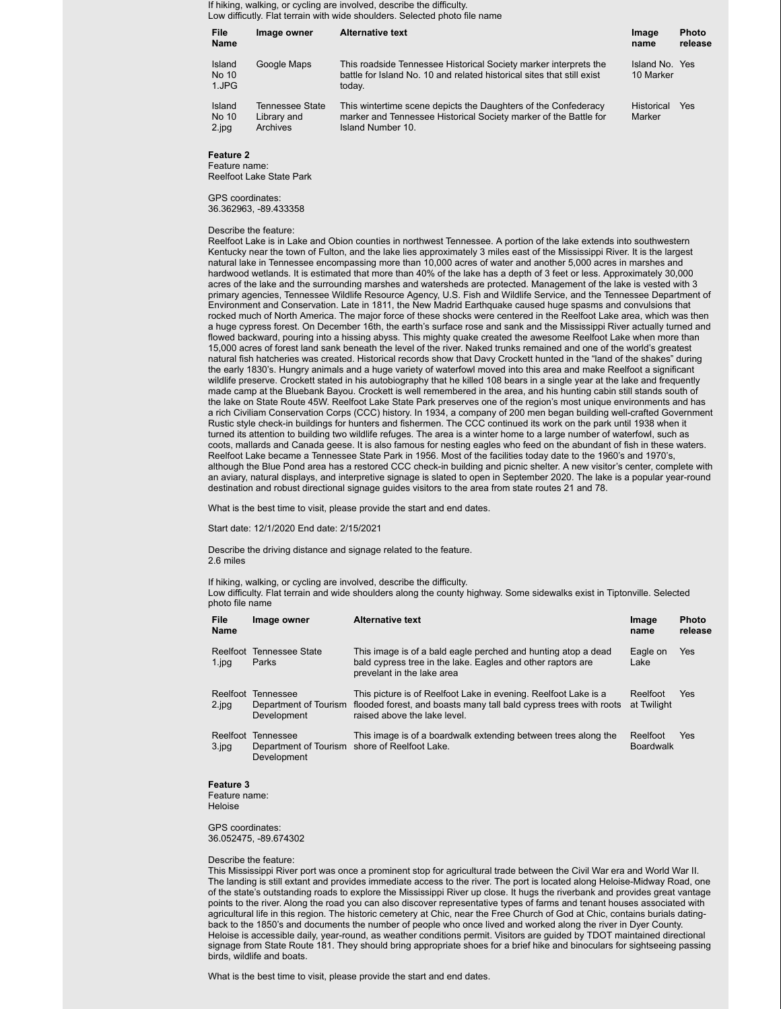If hiking, walking, or cycling are involved, describe the difficulty. Low difficutly. Flat terrain with wide shoulders. Selected photo file name

| File<br><b>Name</b>      | Image owner                                | <b>Alternative text</b>                                                                                                                                 | Image<br>name               | <b>Photo</b><br>release |
|--------------------------|--------------------------------------------|---------------------------------------------------------------------------------------------------------------------------------------------------------|-----------------------------|-------------------------|
| Island<br>No 10<br>1.JPG | Google Maps                                | This roadside Tennessee Historical Society marker interprets the<br>battle for Island No. 10 and related historical sites that still exist<br>today.    | Island No. Yes<br>10 Marker |                         |
| Island<br>No 10<br>2.jpg | Tennessee State<br>Library and<br>Archives | This wintertime scene depicts the Daughters of the Confederacy<br>marker and Tennessee Historical Society marker of the Battle for<br>Island Number 10. | Historical<br>Marker        | Yes                     |

**Feature 2**

Feature name: Reelfoot Lake State Park

GPS coordinates: 36.362963, -89.433358

#### Describe the feature:

Reelfoot Lake is in Lake and Obion counties in northwest Tennessee. A portion of the lake extends into southwestern Kentucky near the town of Fulton, and the lake lies approximately 3 miles east of the Mississippi River. It is the largest natural lake in Tennessee encompassing more than 10,000 acres of water and another 5,000 acres in marshes and hardwood wetlands. It is estimated that more than 40% of the lake has a depth of 3 feet or less. Approximately 30,000 acres of the lake and the surrounding marshes and watersheds are protected. Management of the lake is vested with 3 primary agencies, Tennessee Wildlife Resource Agency, U.S. Fish and Wildlife Service, and the Tennessee Department of Environment and Conservation. Late in 1811, the New Madrid Earthquake caused huge spasms and convulsions that rocked much of North America. The major force of these shocks were centered in the Reelfoot Lake area, which was then a huge cypress forest. On December 16th, the earth's surface rose and sank and the Mississippi River actually turned and flowed backward, pouring into a hissing abyss. This mighty quake created the awesome Reelfoot Lake when more than 15,000 acres of forest land sank beneath the level of the river. Naked trunks remained and one of the world's greatest natural fish hatcheries was created. Historical records show that Davy Crockett hunted in the "land of the shakes" during the early 1830's. Hungry animals and a huge variety of waterfowl moved into this area and make Reelfoot a significant wildlife preserve. Crockett stated in his autobiography that he killed 108 bears in a single year at the lake and frequently made camp at the Bluebank Bayou. Crockett is well remembered in the area, and his hunting cabin still stands south of the lake on State Route 45W. Reelfoot Lake State Park preserves one of the region's most unique environments and has a rich Civiliam Conservation Corps (CCC) history. In 1934, a company of 200 men began building well-crafted Government Rustic style check-in buildings for hunters and fishermen. The CCC continued its work on the park until 1938 when it turned its attention to building two wildlife refuges. The area is a winter home to a large number of waterfowl, such as coots, mallards and Canada geese. It is also famous for nesting eagles who feed on the abundant of fish in these waters. Reelfoot Lake became a Tennessee State Park in 1956. Most of the facilities today date to the 1960's and 1970's, although the Blue Pond area has a restored CCC check-in building and picnic shelter. A new visitor's center, complete with an aviary, natural displays, and interpretive signage is slated to open in September 2020. The lake is a popular year-round destination and robust directional signage guides visitors to the area from state routes 21 and 78.

What is the best time to visit, please provide the start and end dates.

Start date: 12/1/2020 End date: 2/15/2021

Describe the driving distance and signage related to the feature. 2.6 miles

If hiking, walking, or cycling are involved, describe the difficulty. Low difficulty. Flat terrain and wide shoulders along the county highway. Some sidewalks exist in Tiptonville. Selected photo file name

| <b>File</b><br>Name                          | Image owner                                       | <b>Alternative text</b>                                                                                                                                               | Image<br>name                | Photo<br>release |
|----------------------------------------------|---------------------------------------------------|-----------------------------------------------------------------------------------------------------------------------------------------------------------------------|------------------------------|------------------|
| Reelfoot<br>$1$ . jpg                        | <b>Tennessee State</b><br>Parks                   | This image is of a bald eagle perched and hunting atop a dead<br>bald cypress tree in the lake. Eagles and other raptors are<br>prevelant in the lake area            | Eagle on<br>Lake             | <b>Yes</b>       |
| Reelfoot<br>2.jpg                            | Tennessee<br>Department of Tourism<br>Development | This picture is of Reelfoot Lake in evening. Reelfoot Lake is a<br>flooded forest, and boasts many tall bald cypress trees with roots<br>raised above the lake level. | Reelfoot<br>at Twilight      | <b>Yes</b>       |
| Reelfoot<br>$3$ . jpg                        | Tennessee<br>Development                          | This image is of a boardwalk extending between trees along the<br>Department of Tourism shore of Reelfoot Lake.                                                       | Reelfoot<br><b>Boardwalk</b> | <b>Yes</b>       |
| <b>Feature 3</b><br>Feature name:<br>Heloise |                                                   |                                                                                                                                                                       |                              |                  |

GPS coordinates: 36.052475, -89.674302

#### Describe the feature:

This Mississippi River port was once a prominent stop for agricultural trade between the Civil War era and World War II. The landing is still extant and provides immediate access to the river. The port is located along Heloise-Midway Road, one of the state's outstanding roads to explore the Mississippi River up close. It hugs the riverbank and provides great vantage points to the river. Along the road you can also discover representative types of farms and tenant houses associated with agricultural life in this region. The historic cemetery at Chic, near the Free Church of God at Chic, contains burials datingback to the 1850's and documents the number of people who once lived and worked along the river in Dyer County. Heloise is accessible daily, year-round, as weather conditions permit. Visitors are guided by TDOT maintained directional signage from State Route 181. They should bring appropriate shoes for a brief hike and binoculars for sightseeing passing birds, wildlife and boats.

What is the best time to visit, please provide the start and end dates.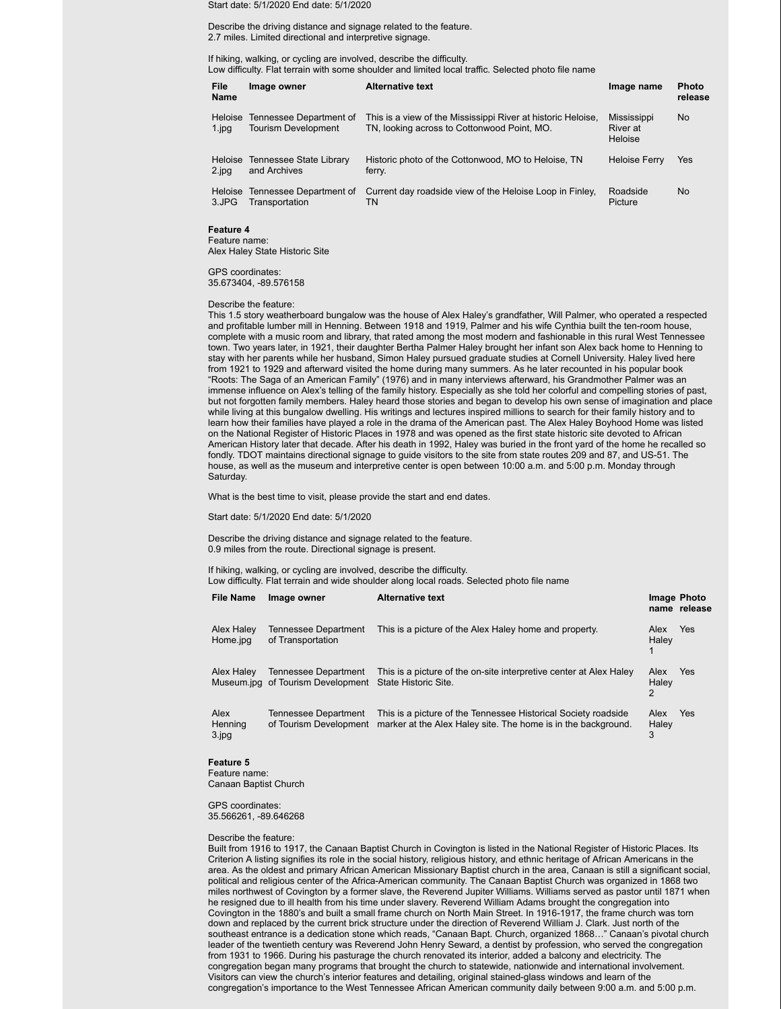Start date: 5/1/2020 End date: 5/1/2020

Describe the driving distance and signage related to the feature. 2.7 miles. Limited directional and interpretive signage.

If hiking, walking, or cycling are involved, describe the difficulty. Low difficulty. Flat terrain with some shoulder and limited local traffic. Selected photo file name

| File<br><b>Name</b>     | Image owner                                           | <b>Alternative text</b>                                                                                     | Image name                                | <b>Photo</b><br>release |
|-------------------------|-------------------------------------------------------|-------------------------------------------------------------------------------------------------------------|-------------------------------------------|-------------------------|
| <b>Heloise</b><br>1.jpg | Tennessee Department of<br><b>Tourism Development</b> | This is a view of the Mississippi River at historic Heloise,<br>TN, looking across to Cottonwood Point, MO. | <b>Mississippi</b><br>River at<br>Heloise | No.                     |
| <b>Heloise</b><br>2.jpg | Tennessee State Library<br>and Archives               | Historic photo of the Cottonwood, MO to Heloise, TN<br>ferry.                                               | <b>Heloise Ferry</b>                      | Yes                     |
| <b>Heloise</b><br>3.JPG | Tennessee Department of<br>Transportation             | Current day roadside view of the Heloise Loop in Finley.<br>TN                                              | Roadside<br>Picture                       | No.                     |

# **Feature 4**

Feature name: Alex Haley State Historic Site

GPS coordinates: 35.673404, -89.576158

Describe the feature:

This 1.5 story weatherboard bungalow was the house of Alex Haley's grandfather, Will Palmer, who operated a respected and profitable lumber mill in Henning. Between 1918 and 1919, Palmer and his wife Cynthia built the ten-room house, complete with a music room and library, that rated among the most modern and fashionable in this rural West Tennessee town. Two years later, in 1921, their daughter Bertha Palmer Haley brought her infant son Alex back home to Henning to stay with her parents while her husband, Simon Haley pursued graduate studies at Cornell University. Haley lived here from 1921 to 1929 and afterward visited the home during many summers. As he later recounted in his popular book "Roots: The Saga of an American Family" (1976) and in many interviews afterward, his Grandmother Palmer was an immense influence on Alex's telling of the family history. Especially as she told her colorful and compelling stories of past, but not forgotten family members. Haley heard those stories and began to develop his own sense of imagination and place while living at this bungalow dwelling. His writings and lectures inspired millions to search for their family history and to learn how their families have played a role in the drama of the American past. The Alex Haley Boyhood Home was listed on the National Register of Historic Places in 1978 and was opened as the first state historic site devoted to African American History later that decade. After his death in 1992, Haley was buried in the front yard of the home he recalled so fondly. TDOT maintains directional signage to guide visitors to the site from state routes 209 and 87, and US-51. The house, as well as the museum and interpretive center is open between 10:00 a.m. and 5:00 p.m. Monday through Saturday.

What is the best time to visit, please provide the start and end dates.

Start date: 5/1/2020 End date: 5/1/2020

Describe the driving distance and signage related to the feature. 0.9 miles from the route. Directional signage is present.

If hiking, walking, or cycling are involved, describe the difficulty. Low difficulty. Flat terrain and wide shoulder along local roads. Selected photo file name

| <b>File Name</b>         | Image owner                                               | <b>Alternative text</b>                                                                                                         | Image Photo        | name release |
|--------------------------|-----------------------------------------------------------|---------------------------------------------------------------------------------------------------------------------------------|--------------------|--------------|
| Alex Haley<br>Home.jpg   | Tennessee Department<br>of Transportation                 | This is a picture of the Alex Haley home and property.                                                                          | Alex<br>Haley      | Yes          |
| Alex Haley               | Tennessee Department<br>Museum.jpg of Tourism Development | This is a picture of the on-site interpretive center at Alex Haley<br>State Historic Site.                                      | Alex<br>Haley<br>2 | <b>Yes</b>   |
| Alex<br>Henning<br>3.jpg | Tennessee Department<br>of Tourism Development            | This is a picture of the Tennessee Historical Society roadside<br>marker at the Alex Haley site. The home is in the background. | Alex<br>Haley<br>3 | <b>Yes</b>   |

**Feature 5**

Feature name: Canaan Baptist Church

GPS coordinates: 35.566261, -89.646268

Describe the feature:

Built from 1916 to 1917, the Canaan Baptist Church in Covington is listed in the National Register of Historic Places. Its Criterion A listing signifies its role in the social history, religious history, and ethnic heritage of African Americans in the area. As the oldest and primary African American Missionary Baptist church in the area, Canaan is still a significant social, political and religious center of the Africa-American community. The Canaan Baptist Church was organized in 1868 two miles northwest of Covington by a former slave, the Reverend Jupiter Williams. Williams served as pastor until 1871 when he resigned due to ill health from his time under slavery. Reverend William Adams brought the congregation into Covington in the 1880's and built a small frame church on North Main Street. In 1916-1917, the frame church was torn down and replaced by the current brick structure under the direction of Reverend William J. Clark. Just north of the southeast entrance is a dedication stone which reads, "Canaan Bapt. Church, organized 1868…" Canaan's pivotal church leader of the twentieth century was Reverend John Henry Seward, a dentist by profession, who served the congregation from 1931 to 1966. During his pasturage the church renovated its interior, added a balcony and electricity. The congregation began many programs that brought the church to statewide, nationwide and international involvement. Visitors can view the church's interior features and detailing, original stained-glass windows and learn of the congregation's importance to the West Tennessee African American community daily between 9:00 a.m. and 5:00 p.m.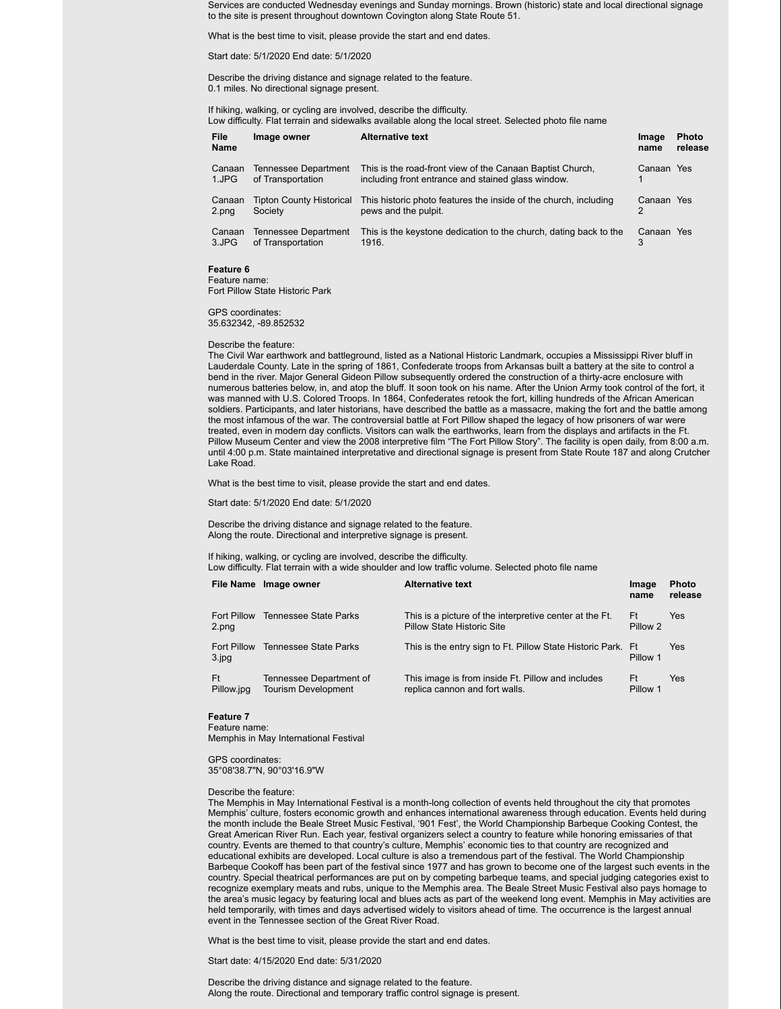Services are conducted Wednesday evenings and Sunday mornings. Brown (historic) state and local directional signage to the site is present throughout downtown Covington along State Route 51.

What is the best time to visit, please provide the start and end dates.

Start date: 5/1/2020 End date: 5/1/2020

Describe the driving distance and signage related to the feature. 0.1 miles. No directional signage present.

If hiking, walking, or cycling are involved, describe the difficulty. Low difficulty. Flat terrain and sidewalks available along the local street. Selected photo file name

| File<br><b>Name</b> | Image owner                                | <b>Alternative text</b>                                                                                         | Image<br>name   | <b>Photo</b><br>release |
|---------------------|--------------------------------------------|-----------------------------------------------------------------------------------------------------------------|-----------------|-------------------------|
| Canaan<br>1.JPG     | Tennessee Department<br>of Transportation  | This is the road-front view of the Canaan Baptist Church,<br>including front entrance and stained glass window. | Canaan Yes      |                         |
| Canaan<br>2.png     | <b>Tipton County Historical</b><br>Society | This historic photo features the inside of the church, including<br>pews and the pulpit.                        | Canaan Yes<br>2 |                         |
| Canaan<br>3.JPG     | Tennessee Department<br>of Transportation  | This is the keystone dedication to the church, dating back to the<br>1916.                                      | Canaan Yes<br>3 |                         |
| Feature 6           |                                            |                                                                                                                 |                 |                         |

Feature name: Fort Pillow State Historic Park

GPS coordinates: 35.632342, -89.852532

#### Describe the feature:

The Civil War earthwork and battleground, listed as a National Historic Landmark, occupies a Mississippi River bluff in Lauderdale County. Late in the spring of 1861, Confederate troops from Arkansas built a battery at the site to control a bend in the river. Major General Gideon Pillow subsequently ordered the construction of a thirty-acre enclosure with numerous batteries below, in, and atop the bluff. It soon took on his name. After the Union Army took control of the fort, it was manned with U.S. Colored Troops. In 1864, Confederates retook the fort, killing hundreds of the African American soldiers. Participants, and later historians, have described the battle as a massacre, making the fort and the battle among the most infamous of the war. The controversial battle at Fort Pillow shaped the legacy of how prisoners of war were treated, even in modern day conflicts. Visitors can walk the earthworks, learn from the displays and artifacts in the Ft. Pillow Museum Center and view the 2008 interpretive film "The Fort Pillow Story". The facility is open daily, from 8:00 a.m. until 4:00 p.m. State maintained interpretative and directional signage is present from State Route 187 and along Crutcher Lake Road.

What is the best time to visit, please provide the start and end dates.

Start date: 5/1/2020 End date: 5/1/2020

Describe the driving distance and signage related to the feature. Along the route. Directional and interpretive signage is present.

If hiking, walking, or cycling are involved, describe the difficulty.<br>Low difficulty, Flat terrain with a wide shoulder and low traffic volume. Selected photo file nai  $\overline{\phantom{a}}$  in with a wide shoulder and low trafficient

| Low difficulty. Fiat terrain with a wide shoulder and low trainc volume. Selected prioto life hanne |  |  |  |
|-----------------------------------------------------------------------------------------------------|--|--|--|
|                                                                                                     |  |  |  |

|                          | File Name Image owner                                 | <b>Alternative text</b>                                                                      | Image<br>name  | <b>Photo</b><br>release |
|--------------------------|-------------------------------------------------------|----------------------------------------------------------------------------------------------|----------------|-------------------------|
| Fort Pillow<br>2.png     | Tennessee State Parks                                 | This is a picture of the interpretive center at the Ft.<br><b>Pillow State Historic Site</b> | Ft<br>Pillow 2 | Yes                     |
| Fort Pillow<br>$3$ . jpg | Tennessee State Parks                                 | This is the entry sign to Ft. Pillow State Historic Park. Ft.                                | Pillow 1       | Yes                     |
| Ft<br>Pillow.jpg         | Tennessee Department of<br><b>Tourism Development</b> | This image is from inside Ft. Pillow and includes<br>replica cannon and fort walls.          | Ft<br>Pillow 1 | Yes                     |

## **Feature 7**

Feature name: Memphis in May International Festival

GPS coordinates: 35°08'38.7"N, 90°03'16.9"W

#### Describe the feature:

The Memphis in May International Festival is a month-long collection of events held throughout the city that promotes Memphis' culture, fosters economic growth and enhances international awareness through education. Events held during the month include the Beale Street Music Festival, '901 Fest', the World Championship Barbeque Cooking Contest, the Great American River Run. Each year, festival organizers select a country to feature while honoring emissaries of that country. Events are themed to that country's culture, Memphis' economic ties to that country are recognized and educational exhibits are developed. Local culture is also a tremendous part of the festival. The World Championship Barbeque Cookoff has been part of the festival since 1977 and has grown to become one of the largest such events in the country. Special theatrical performances are put on by competing barbeque teams, and special judging categories exist to recognize exemplary meats and rubs, unique to the Memphis area. The Beale Street Music Festival also pays homage to the area's music legacy by featuring local and blues acts as part of the weekend long event. Memphis in May activities are held temporarily, with times and days advertised widely to visitors ahead of time. The occurrence is the largest annual event in the Tennessee section of the Great River Road.

What is the best time to visit, please provide the start and end dates.

Start date: 4/15/2020 End date: 5/31/2020

Describe the driving distance and signage related to the feature. Along the route. Directional and temporary traffic control signage is present.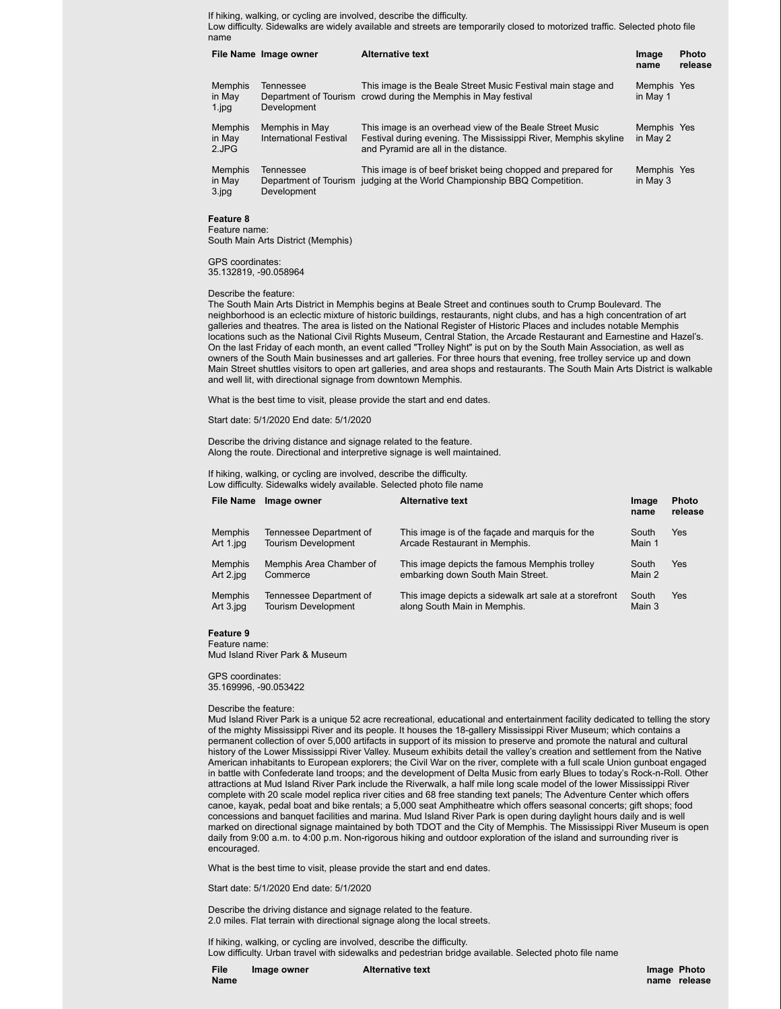If hiking, walking, or cycling are involved, describe the difficulty.

Low difficulty. Sidewalks are widely available and streets are temporarily closed to motorized traffic. Selected photo file name

|                                       | File Name Image owner                                    | <b>Alternative text</b>                                                                                                                                             | Image<br>name           | <b>Photo</b><br>release |
|---------------------------------------|----------------------------------------------------------|---------------------------------------------------------------------------------------------------------------------------------------------------------------------|-------------------------|-------------------------|
| <b>Memphis</b><br>in May<br>$1$ .jpg  | Tennessee<br>Development                                 | This image is the Beale Street Music Festival main stage and<br>Department of Tourism crowd during the Memphis in May festival                                      | Memphis Yes<br>in May 1 |                         |
| <b>Memphis</b><br>in May<br>2.JPG     | Memphis in May<br>International Festival                 | This image is an overhead view of the Beale Street Music<br>Festival during evening. The Mississippi River, Memphis skyline<br>and Pyramid are all in the distance. | Memphis Yes<br>in May 2 |                         |
| <b>Memphis</b><br>in May<br>$3$ . jpg | <b>Tennessee</b><br>Department of Tourism<br>Development | This image is of beef brisket being chopped and prepared for<br>judging at the World Championship BBQ Competition.                                                  | Memphis Yes<br>in May 3 |                         |

## **Feature 8**

Feature name: South Main Arts District (Memphis)

GPS coordinates: 35.132819, -90.058964

Describe the feature:

The South Main Arts District in Memphis begins at Beale Street and continues south to Crump Boulevard. The neighborhood is an eclectic mixture of historic buildings, restaurants, night clubs, and has a high concentration of art galleries and theatres. The area is listed on the National Register of Historic Places and includes notable Memphis locations such as the National Civil Rights Museum, Central Station, the Arcade Restaurant and Earnestine and Hazel's. On the last Friday of each month, an event called "Trolley Night" is put on by the South Main Association, as well as owners of the South Main businesses and art galleries. For three hours that evening, free trolley service up and down Main Street shuttles visitors to open art galleries, and area shops and restaurants. The South Main Arts District is walkable and well lit, with directional signage from downtown Memphis.

What is the best time to visit, please provide the start and end dates.

Start date: 5/1/2020 End date: 5/1/2020

Describe the driving distance and signage related to the feature. Along the route. Directional and interpretive signage is well maintained.

If hiking, walking, or cycling are involved, describe the difficulty. Low difficulty. Sidewalks widely available. Selected photo file name **File Name Image owner Alternative text Image**

|                | $\overline{ }$ $\overline{ }$ $\overline{ }$ $\overline{ }$ $\overline{ }$ $\overline{ }$ $\overline{ }$ $\overline{ }$ $\overline{ }$ $\overline{ }$ $\overline{ }$ $\overline{ }$ $\overline{ }$ $\overline{ }$ $\overline{ }$ $\overline{ }$ $\overline{ }$ $\overline{ }$ $\overline{ }$ $\overline{ }$ $\overline{ }$ $\overline{ }$ $\overline{ }$ $\overline{ }$ $\overline{ }$ $\overline{ }$ $\overline{ }$ $\overline{$ | AILCHIQUVC LCAL                                        | шаус<br>name | гнош<br>release |
|----------------|-----------------------------------------------------------------------------------------------------------------------------------------------------------------------------------------------------------------------------------------------------------------------------------------------------------------------------------------------------------------------------------------------------------------------------------|--------------------------------------------------------|--------------|-----------------|
| <b>Memphis</b> | Tennessee Department of                                                                                                                                                                                                                                                                                                                                                                                                           | This image is of the facade and marguis for the        | South        | Yes             |
| Art 1.jpg      | <b>Tourism Development</b>                                                                                                                                                                                                                                                                                                                                                                                                        | Arcade Restaurant in Memphis.                          | Main 1       |                 |
| <b>Memphis</b> | Memphis Area Chamber of                                                                                                                                                                                                                                                                                                                                                                                                           | This image depicts the famous Memphis trolley          | South        | Yes             |
| Art 2.jpg      | Commerce                                                                                                                                                                                                                                                                                                                                                                                                                          | embarking down South Main Street.                      | Main 2       |                 |
| <b>Memphis</b> | Tennessee Department of                                                                                                                                                                                                                                                                                                                                                                                                           | This image depicts a sidewalk art sale at a storefront | South        | Yes             |
| Art 3.jpg      | <b>Tourism Development</b>                                                                                                                                                                                                                                                                                                                                                                                                        | along South Main in Memphis.                           | Main 3       |                 |

**Feature 9**

Feature name: Mud Island River Park & Museum

GPS coordinates: 35.169996, -90.053422

#### Describe the feature:

Mud Island River Park is a unique 52 acre recreational, educational and entertainment facility dedicated to telling the story of the mighty Mississippi River and its people. It houses the 18-gallery Mississippi River Museum; which contains a permanent collection of over 5,000 artifacts in support of its mission to preserve and promote the natural and cultural history of the Lower Mississippi River Valley. Museum exhibits detail the valley's creation and settlement from the Native American inhabitants to European explorers; the Civil War on the river, complete with a full scale Union gunboat engaged in battle with Confederate land troops; and the development of Delta Music from early Blues to today's Rock-n-Roll. Other attractions at Mud Island River Park include the Riverwalk, a half mile long scale model of the lower Mississippi River complete with 20 scale model replica river cities and 68 free standing text panels; The Adventure Center which offers canoe, kayak, pedal boat and bike rentals; a 5,000 seat Amphitheatre which offers seasonal concerts; gift shops; food concessions and banquet facilities and marina. Mud Island River Park is open during daylight hours daily and is well marked on directional signage maintained by both TDOT and the City of Memphis. The Mississippi River Museum is open daily from 9:00 a.m. to 4:00 p.m. Non-rigorous hiking and outdoor exploration of the island and surrounding river is encouraged.

What is the best time to visit, please provide the start and end dates.

Start date: 5/1/2020 End date: 5/1/2020

Describe the driving distance and signage related to the feature. 2.0 miles. Flat terrain with directional signage along the local streets.

If hiking, walking, or cycling are involved, describe the difficulty. Low difficulty. Urban travel with sidewalks and pedestrian bridge available. Selected photo file name

**File Name** **Photo**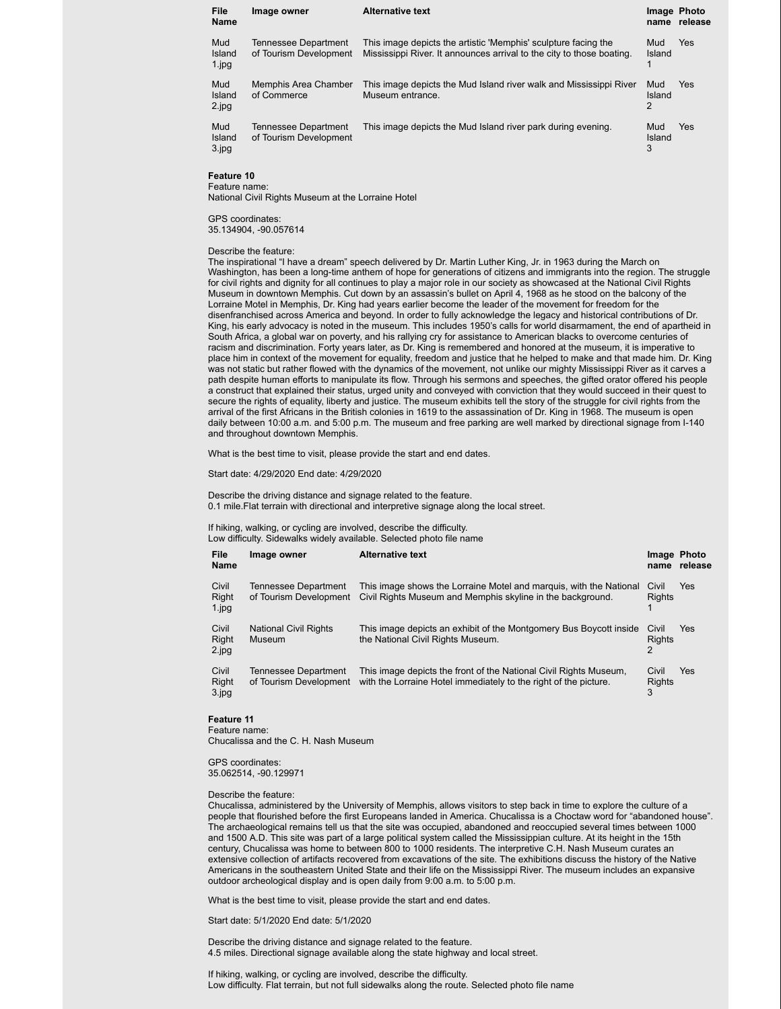| File<br>Name                 | Image owner                                           | <b>Alternative text</b>                                                                                                                 | Image Photo        | name release |
|------------------------------|-------------------------------------------------------|-----------------------------------------------------------------------------------------------------------------------------------------|--------------------|--------------|
| Mud<br>Island<br>$1$ . $ppq$ | <b>Tennessee Department</b><br>of Tourism Development | This image depicts the artistic 'Memphis' sculpture facing the<br>Mississippi River. It announces arrival to the city to those boating. | Mud<br>Island      | Yes          |
| Mud<br>Island<br>2.jpg       | Memphis Area Chamber<br>of Commerce                   | This image depicts the Mud Island river walk and Mississippi River<br>Museum entrance.                                                  | Mud<br>Island<br>2 | Yes          |
| Mud<br>Island<br>3.jpg       | <b>Tennessee Department</b><br>of Tourism Development | This image depicts the Mud Island river park during evening.                                                                            | Mud<br>Island<br>3 | Yes          |

# **Feature 10**

Feature name: National Civil Rights Museum at the Lorraine Hotel

GPS coordinates: 35.134904, -90.057614

#### Describe the feature:

The inspirational "I have a dream" speech delivered by Dr. Martin Luther King, Jr. in 1963 during the March on Washington, has been a long-time anthem of hope for generations of citizens and immigrants into the region. The struggle for civil rights and dignity for all continues to play a major role in our society as showcased at the National Civil Rights Museum in downtown Memphis. Cut down by an assassin's bullet on April 4, 1968 as he stood on the balcony of the Lorraine Motel in Memphis, Dr. King had years earlier become the leader of the movement for freedom for the disenfranchised across America and beyond. In order to fully acknowledge the legacy and historical contributions of Dr. King, his early advocacy is noted in the museum. This includes 1950's calls for world disarmament, the end of apartheid in South Africa, a global war on poverty, and his rallying cry for assistance to American blacks to overcome centuries of racism and discrimination. Forty years later, as Dr. King is remembered and honored at the museum, it is imperative to place him in context of the movement for equality, freedom and justice that he helped to make and that made him. Dr. King was not static but rather flowed with the dynamics of the movement, not unlike our mighty Mississippi River as it carves a path despite human efforts to manipulate its flow. Through his sermons and speeches, the gifted orator offered his people a construct that explained their status, urged unity and conveyed with conviction that they would succeed in their quest to secure the rights of equality, liberty and justice. The museum exhibits tell the story of the struggle for civil rights from the arrival of the first Africans in the British colonies in 1619 to the assassination of Dr. King in 1968. The museum is open daily between 10:00 a.m. and 5:00 p.m. The museum and free parking are well marked by directional signage from I-140 and throughout downtown Memphis.

What is the best time to visit, please provide the start and end dates.

Start date: 4/29/2020 End date: 4/29/2020

Describe the driving distance and signage related to the feature. 0.1 mile.Flat terrain with directional and interpretive signage along the local street.

If hiking, walking, or cycling are involved, describe the difficulty.

Low difficulty. Sidewalks widely available. Selected photo file name

| File<br>Name               | Image owner                                           | <b>Alternative text</b>                                                                                                               | Image Photo            | name release |
|----------------------------|-------------------------------------------------------|---------------------------------------------------------------------------------------------------------------------------------------|------------------------|--------------|
| Civil<br>Right<br>1.jpg    | <b>Tennessee Department</b><br>of Tourism Development | This image shows the Lorraine Motel and marguis, with the National<br>Civil Rights Museum and Memphis skyline in the background.      | Civil<br><b>Rights</b> | Yes          |
| Civil<br>Right<br>$2$ .jpg | <b>National Civil Rights</b><br><b>Museum</b>         | This image depicts an exhibit of the Montgomery Bus Boycott inside<br>the National Civil Rights Museum.                               | Civil<br><b>Rights</b> | Yes          |
| Civil<br>Right<br>3.jpg    | Tennessee Department<br>of Tourism Development        | This image depicts the front of the National Civil Rights Museum,<br>with the Lorraine Hotel immediately to the right of the picture. | Civil<br>Rights<br>3   | Yes          |

#### **Feature 11**

Feature name: Chucalissa and the C. H. Nash Museum

GPS coordinates: 35.062514, -90.129971

#### Describe the feature:

Chucalissa, administered by the University of Memphis, allows visitors to step back in time to explore the culture of a people that flourished before the first Europeans landed in America. Chucalissa is a Choctaw word for "abandoned house". The archaeological remains tell us that the site was occupied, abandoned and reoccupied several times between 1000 and 1500 A.D. This site was part of a large political system called the Mississippian culture. At its height in the 15th century, Chucalissa was home to between 800 to 1000 residents. The interpretive C.H. Nash Museum curates an extensive collection of artifacts recovered from excavations of the site. The exhibitions discuss the history of the Native Americans in the southeastern United State and their life on the Mississippi River. The museum includes an expansive outdoor archeological display and is open daily from 9:00 a.m. to 5:00 p.m.

What is the best time to visit, please provide the start and end dates.

Start date: 5/1/2020 End date: 5/1/2020

Describe the driving distance and signage related to the feature. 4.5 miles. Directional signage available along the state highway and local street.

If hiking, walking, or cycling are involved, describe the difficulty. Low difficulty. Flat terrain, but not full sidewalks along the route. Selected photo file name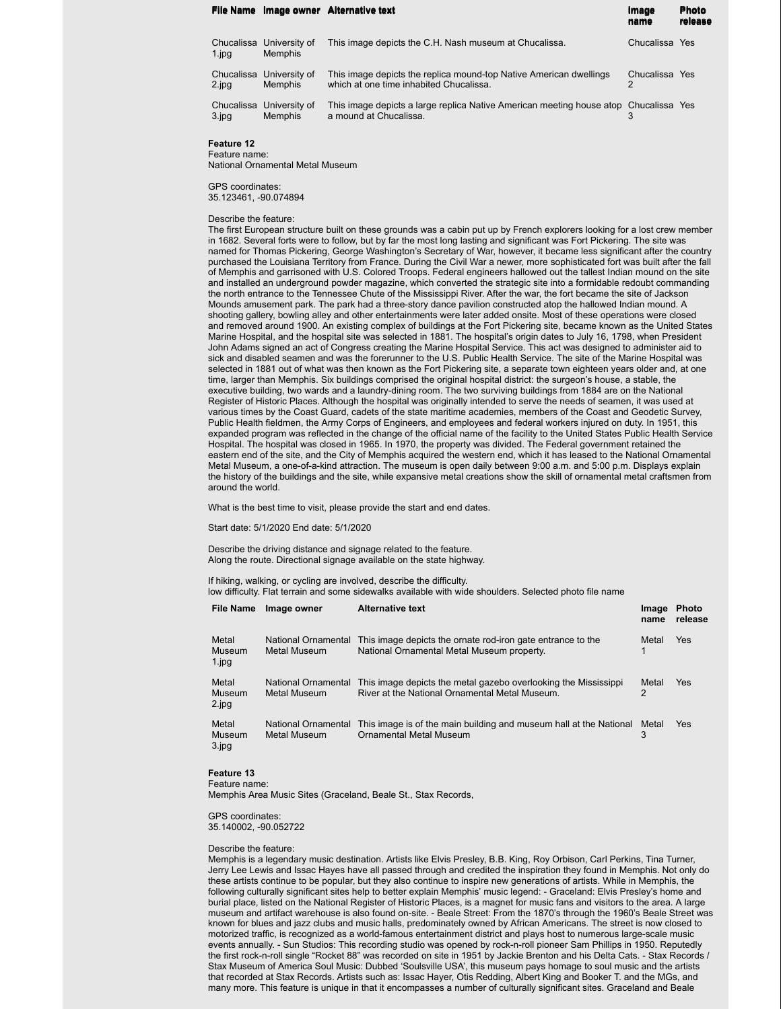|           |                                            | File Name Image owner Alternative text                                                                         | Image<br>name       | <b>Photo</b><br>release |
|-----------|--------------------------------------------|----------------------------------------------------------------------------------------------------------------|---------------------|-------------------------|
| 1.jpg     | Chucalissa University of<br><b>Memphis</b> | This image depicts the C.H. Nash museum at Chucalissa.                                                         | Chucalissa Yes      |                         |
| 2.jpg     | Chucalissa University of<br><b>Memphis</b> | This image depicts the replica mound-top Native American dwellings<br>which at one time inhabited Chucalissa.  | Chucalissa Yes<br>2 |                         |
| $3$ . jpg | Chucalissa University of<br><b>Memphis</b> | This image depicts a large replica Native American meeting house atop Chucalissa Yes<br>a mound at Chucalissa. |                     |                         |

**Feature 12** Feature name:

National Ornamental Metal Museum

GPS coordinates: 35.123461, -90.074894

#### Describe the feature:

The first European structure built on these grounds was a cabin put up by French explorers looking for a lost crew member in 1682. Several forts were to follow, but by far the most long lasting and significant was Fort Pickering. The site was named for Thomas Pickering, George Washington's Secretary of War, however, it became less significant after the country purchased the Louisiana Territory from France. During the Civil War a newer, more sophisticated fort was built after the fall of Memphis and garrisoned with U.S. Colored Troops. Federal engineers hallowed out the tallest Indian mound on the site and installed an underground powder magazine, which converted the strategic site into a formidable redoubt commanding the north entrance to the Tennessee Chute of the Mississippi River. After the war, the fort became the site of Jackson Mounds amusement park. The park had a three-story dance pavilion constructed atop the hallowed Indian mound. A shooting gallery, bowling alley and other entertainments were later added onsite. Most of these operations were closed and removed around 1900. An existing complex of buildings at the Fort Pickering site, became known as the United States Marine Hospital, and the hospital site was selected in 1881. The hospital's origin dates to July 16, 1798, when President John Adams signed an act of Congress creating the Marine Hospital Service. This act was designed to administer aid to sick and disabled seamen and was the forerunner to the U.S. Public Health Service. The site of the Marine Hospital was selected in 1881 out of what was then known as the Fort Pickering site, a separate town eighteen years older and, at one time, larger than Memphis. Six buildings comprised the original hospital district: the surgeon's house, a stable, the executive building, two wards and a laundry-dining room. The two surviving buildings from 1884 are on the National Register of Historic Places. Although the hospital was originally intended to serve the needs of seamen, it was used at various times by the Coast Guard, cadets of the state maritime academies, members of the Coast and Geodetic Survey, Public Health fieldmen, the Army Corps of Engineers, and employees and federal workers injured on duty. In 1951, this expanded program was reflected in the change of the official name of the facility to the United States Public Health Service Hospital. The hospital was closed in 1965. In 1970, the property was divided. The Federal government retained the eastern end of the site, and the City of Memphis acquired the western end, which it has leased to the National Ornamental Metal Museum, a one-of-a-kind attraction. The museum is open daily between 9:00 a.m. and 5:00 p.m. Displays explain the history of the buildings and the site, while expansive metal creations show the skill of ornamental metal craftsmen from around the world.

What is the best time to visit, please provide the start and end dates.

Start date: 5/1/2020 End date: 5/1/2020

Describe the driving distance and signage related to the feature. Along the route. Directional signage available on the state highway.

If hiking, walking, or cycling are involved, describe the difficulty.

low difficulty. Flat terrain and some sidewalks available with wide shoulders. Selected photo file name

| File Name                      | Image owner                         | <b>Alternative text</b>                                                                                           | Image<br>name | <b>Photo</b><br>release |
|--------------------------------|-------------------------------------|-------------------------------------------------------------------------------------------------------------------|---------------|-------------------------|
| Metal<br>Museum<br>$1$ . $ppq$ | National Ornamental<br>Metal Museum | This image depicts the ornate rod-iron gate entrance to the<br>National Ornamental Metal Museum property.         | Metal         | Yes                     |
| Metal<br>Museum<br>2.jpg       | National Ornamental<br>Metal Museum | This image depicts the metal gazebo overlooking the Mississippi<br>River at the National Ornamental Metal Museum. | Metal<br>2    | Yes                     |
| Metal<br>Museum<br>3.jpg       | National Ornamental<br>Metal Museum | This image is of the main building and museum hall at the National<br><b>Ornamental Metal Museum</b>              | Metal<br>3    | Yes                     |

#### **Feature 13**

Feature name:

Memphis Area Music Sites (Graceland, Beale St., Stax Records,

GPS coordinates: 35.140002, -90.052722

#### Describe the feature:

Memphis is a legendary music destination. Artists like Elvis Presley, B.B. King, Roy Orbison, Carl Perkins, Tina Turner, Jerry Lee Lewis and Issac Hayes have all passed through and credited the inspiration they found in Memphis. Not only do these artists continue to be popular, but they also continue to inspire new generations of artists. While in Memphis, the following culturally significant sites help to better explain Memphis' music legend: - Graceland: Elvis Presley's home and burial place, listed on the National Register of Historic Places, is a magnet for music fans and visitors to the area. A large museum and artifact warehouse is also found on-site. - Beale Street: From the 1870's through the 1960's Beale Street was known for blues and jazz clubs and music halls, predominately owned by African Americans. The street is now closed to motorized traffic, is recognized as a world-famous entertainment district and plays host to numerous large-scale music events annually. - Sun Studios: This recording studio was opened by rock-n-roll pioneer Sam Phillips in 1950. Reputedly the first rock-n-roll single "Rocket 88" was recorded on site in 1951 by Jackie Brenton and his Delta Cats. - Stax Records / Stax Museum of America Soul Music: Dubbed 'Soulsville USA', this museum pays homage to soul music and the artists that recorded at Stax Records. Artists such as: Issac Hayer, Otis Redding, Albert King and Booker T. and the MGs, and many more. This feature is unique in that it encompasses a number of culturally significant sites. Graceland and Beale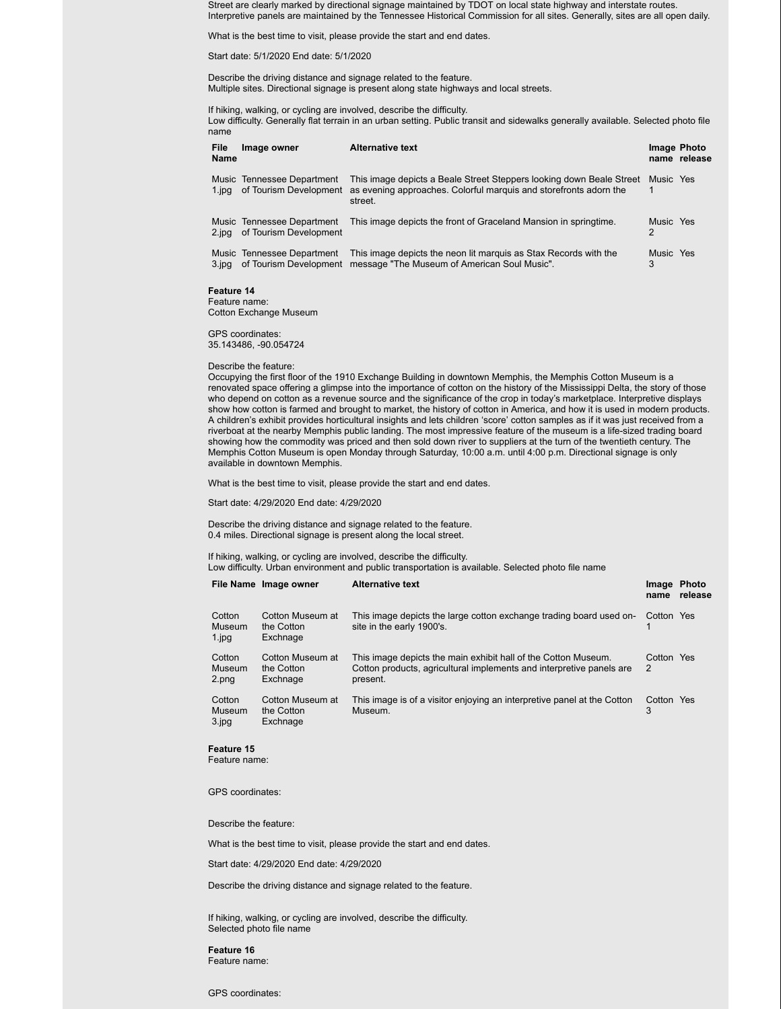Street are clearly marked by directional signage maintained by TDOT on local state highway and interstate routes. Interpretive panels are maintained by the Tennessee Historical Commission for all sites. Generally, sites are all open daily.

What is the best time to visit, please provide the start and end dates.

Start date: 5/1/2020 End date: 5/1/2020

Describe the driving distance and signage related to the feature. Multiple sites. Directional signage is present along state highways and local streets.

If hiking, walking, or cycling are involved, describe the difficulty. Low difficulty. Generally flat terrain in an urban setting. Public transit and sidewalks generally available. Selected photo file name

| File<br>Name | Image owner                                          | <b>Alternative text</b>                                                                                                                              | Image Photo    | name release |
|--------------|------------------------------------------------------|------------------------------------------------------------------------------------------------------------------------------------------------------|----------------|--------------|
| 1.jpg        | Music Tennessee Department<br>of Tourism Development | This image depicts a Beale Street Steppers looking down Beale Street<br>as evening approaches. Colorful marguis and storefronts adorn the<br>street. | Music Yes      |              |
| 2.jpg        | Music Tennessee Department<br>of Tourism Development | This image depicts the front of Graceland Mansion in springtime.                                                                                     | Music Yes<br>2 |              |
| 3.jpg        | Music Tennessee Department<br>of Tourism Development | This image depicts the neon lit marguis as Stax Records with the<br>message "The Museum of American Soul Music".                                     | Music Yes<br>3 |              |

## **Feature 14**

Feature name: Cotton Exchange Museum

GPS coordinates: 35.143486, -90.054724

#### Describe the feature:

Occupying the first floor of the 1910 Exchange Building in downtown Memphis, the Memphis Cotton Museum is a renovated space offering a glimpse into the importance of cotton on the history of the Mississippi Delta, the story of those who depend on cotton as a revenue source and the significance of the crop in today's marketplace. Interpretive displays show how cotton is farmed and brought to market, the history of cotton in America, and how it is used in modern products. A children's exhibit provides horticultural insights and lets children 'score' cotton samples as if it was just received from a riverboat at the nearby Memphis public landing. The most impressive feature of the museum is a life-sized trading board showing how the commodity was priced and then sold down river to suppliers at the turn of the twentieth century. The Memphis Cotton Museum is open Monday through Saturday, 10:00 a.m. until 4:00 p.m. Directional signage is only available in downtown Memphis.

What is the best time to visit, please provide the start and end dates.

Start date: 4/29/2020 End date: 4/29/2020

Describe the driving distance and signage related to the feature. 0.4 miles. Directional signage is present along the local street.

If hiking, walking, or cycling are involved, describe the difficulty.

Low difficulty. Urban environment and public transportation is available. Selected photo file name

|                               | File Name Image owner                      | <b>Alternative text</b>                                                                                                                            | Image Photo<br>name | release |
|-------------------------------|--------------------------------------------|----------------------------------------------------------------------------------------------------------------------------------------------------|---------------------|---------|
| Cotton<br>Museum<br>$1$ . jpg | Cotton Museum at<br>the Cotton<br>Exchnage | This image depicts the large cotton exchange trading board used on-<br>site in the early 1900's.                                                   | Cotton Yes          |         |
| Cotton<br>Museum<br>2.png     | Cotton Museum at<br>the Cotton<br>Exchnage | This image depicts the main exhibit hall of the Cotton Museum.<br>Cotton products, agricultural implements and interpretive panels are<br>present. | Cotton Yes<br>2     |         |
| Cotton<br>Museum<br>3.jpg     | Cotton Museum at<br>the Cotton<br>Exchnage | This image is of a visitor enjoying an interpretive panel at the Cotton<br>Museum.                                                                 | Cotton Yes          |         |

#### **Feature 15**

Feature name:

GPS coordinates:

Describe the feature:

What is the best time to visit, please provide the start and end dates.

Start date: 4/29/2020 End date: 4/29/2020

Describe the driving distance and signage related to the feature.

If hiking, walking, or cycling are involved, describe the difficulty. Selected photo file name

**Feature 16** Feature name:

GPS coordinates: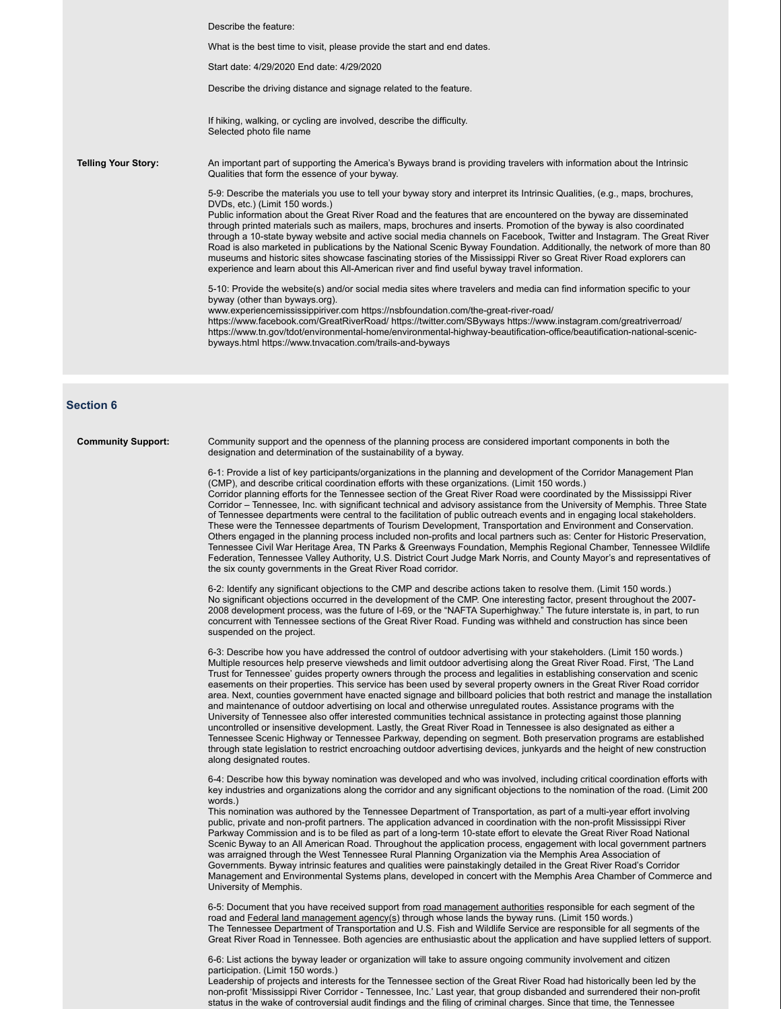|                            | Describe the feature:                                                                                                                                                                                                                                                                                                                                                                                                                                                                                                                                                                                                                                                                                                                                                                                                                                                                                                                                                                                         |
|----------------------------|---------------------------------------------------------------------------------------------------------------------------------------------------------------------------------------------------------------------------------------------------------------------------------------------------------------------------------------------------------------------------------------------------------------------------------------------------------------------------------------------------------------------------------------------------------------------------------------------------------------------------------------------------------------------------------------------------------------------------------------------------------------------------------------------------------------------------------------------------------------------------------------------------------------------------------------------------------------------------------------------------------------|
|                            | What is the best time to visit, please provide the start and end dates.                                                                                                                                                                                                                                                                                                                                                                                                                                                                                                                                                                                                                                                                                                                                                                                                                                                                                                                                       |
|                            | Start date: 4/29/2020 End date: 4/29/2020                                                                                                                                                                                                                                                                                                                                                                                                                                                                                                                                                                                                                                                                                                                                                                                                                                                                                                                                                                     |
|                            | Describe the driving distance and signage related to the feature.                                                                                                                                                                                                                                                                                                                                                                                                                                                                                                                                                                                                                                                                                                                                                                                                                                                                                                                                             |
|                            | If hiking, walking, or cycling are involved, describe the difficulty.<br>Selected photo file name                                                                                                                                                                                                                                                                                                                                                                                                                                                                                                                                                                                                                                                                                                                                                                                                                                                                                                             |
| <b>Telling Your Story:</b> | An important part of supporting the America's Byways brand is providing travelers with information about the Intrinsic<br>Qualities that form the essence of your byway.                                                                                                                                                                                                                                                                                                                                                                                                                                                                                                                                                                                                                                                                                                                                                                                                                                      |
|                            | 5-9: Describe the materials you use to tell your byway story and interpret its Intrinsic Qualities, (e.g., maps, brochures,<br>DVDs, etc.) (Limit 150 words.)<br>Public information about the Great River Road and the features that are encountered on the byway are disseminated<br>through printed materials such as mailers, maps, brochures and inserts. Promotion of the byway is also coordinated<br>through a 10-state byway website and active social media channels on Facebook, Twitter and Instagram. The Great River<br>Road is also marketed in publications by the National Scenic Byway Foundation. Additionally, the network of more than 80<br>museums and historic sites showcase fascinating stories of the Mississippi River so Great River Road explorers can<br>experience and learn about this All-American river and find useful byway travel information.<br>5-10: Provide the website(s) and/or social media sites where travelers and media can find information specific to your |
|                            | byway (other than byways.org).<br>www.experiencemississippiriver.com https://nsbfoundation.com/the-great-river-road/<br>https://www.facebook.com/GreatRiverRoad/ https://twitter.com/SByways https://www.instagram.com/greatriverroad/<br>https://www.tn.gov/tdot/environmental-home/environmental-highway-beautification-office/beautification-national-scenic-<br>byways.html https://www.tnvacation.com/trails-and-byways                                                                                                                                                                                                                                                                                                                                                                                                                                                                                                                                                                                  |
|                            |                                                                                                                                                                                                                                                                                                                                                                                                                                                                                                                                                                                                                                                                                                                                                                                                                                                                                                                                                                                                               |
|                            |                                                                                                                                                                                                                                                                                                                                                                                                                                                                                                                                                                                                                                                                                                                                                                                                                                                                                                                                                                                                               |

### **Section 6**

**Community Support:** Community support and the openness of the planning process are considered important components in both the designation and determination of the sustainability of a byway.

> 6-1: Provide a list of key participants/organizations in the planning and development of the Corridor Management Plan (CMP), and describe critical coordination efforts with these organizations. (Limit 150 words.) Corridor planning efforts for the Tennessee section of the Great River Road were coordinated by the Mississippi River Corridor – Tennessee, Inc. with significant technical and advisory assistance from the University of Memphis. Three State of Tennessee departments were central to the facilitation of public outreach events and in engaging local stakeholders. These were the Tennessee departments of Tourism Development, Transportation and Environment and Conservation. Others engaged in the planning process included non-profits and local partners such as: Center for Historic Preservation, Tennessee Civil War Heritage Area, TN Parks & Greenways Foundation, Memphis Regional Chamber, Tennessee Wildlife Federation, Tennessee Valley Authority, U.S. District Court Judge Mark Norris, and County Mayor's and representatives of the six county governments in the Great River Road corridor.

6-2: Identify any significant objections to the CMP and describe actions taken to resolve them. (Limit 150 words.) No significant objections occurred in the development of the CMP. One interesting factor, present throughout the 2007- 2008 development process, was the future of I-69, or the "NAFTA Superhighway." The future interstate is, in part, to run concurrent with Tennessee sections of the Great River Road. Funding was withheld and construction has since been suspended on the project.

6-3: Describe how you have addressed the control of outdoor advertising with your stakeholders. (Limit 150 words.) Multiple resources help preserve viewsheds and limit outdoor advertising along the Great River Road. First, 'The Land Trust for Tennessee' guides property owners through the process and legalities in establishing conservation and scenic easements on their properties. This service has been used by several property owners in the Great River Road corridor area. Next, counties government have enacted signage and billboard policies that both restrict and manage the installation and maintenance of outdoor advertising on local and otherwise unregulated routes. Assistance programs with the University of Tennessee also offer interested communities technical assistance in protecting against those planning uncontrolled or insensitive development. Lastly, the Great River Road in Tennessee is also designated as either a Tennessee Scenic Highway or Tennessee Parkway, depending on segment. Both preservation programs are established through state legislation to restrict encroaching outdoor advertising devices, junkyards and the height of new construction along designated routes.

6-4: Describe how this byway nomination was developed and who was involved, including critical coordination efforts with key industries and organizations along the corridor and any significant objections to the nomination of the road. (Limit 200 words.)

This nomination was authored by the Tennessee Department of Transportation, as part of a multi-year effort involving public, private and non-profit partners. The application advanced in coordination with the non-profit Mississippi River Parkway Commission and is to be filed as part of a long-term 10-state effort to elevate the Great River Road National Scenic Byway to an All American Road. Throughout the application process, engagement with local government partners was arraigned through the West Tennessee Rural Planning Organization via the Memphis Area Association of Governments. Byway intrinsic features and qualities were painstakingly detailed in the Great River Road's Corridor Management and Environmental Systems plans, developed in concert with the Memphis Area Chamber of Commerce and University of Memphis.

6-5: Document that you have received support from road management authorities responsible for each segment of the road and Federal land management agency(s) through whose lands the byway runs. (Limit 150 words.) The Tennessee Department of Transportation and U.S. Fish and Wildlife Service are responsible for all segments of the Great River Road in Tennessee. Both agencies are enthusiastic about the application and have supplied letters of support.

6-6: List actions the byway leader or organization will take to assure ongoing community involvement and citizen participation. (Limit 150 words.)

Leadership of projects and interests for the Tennessee section of the Great River Road had historically been led by the non-profit 'Mississippi River Corridor - Tennessee, Inc.' Last year, that group disbanded and surrendered their non-profit status in the wake of controversial audit findings and the filing of criminal charges. Since that time, the Tennessee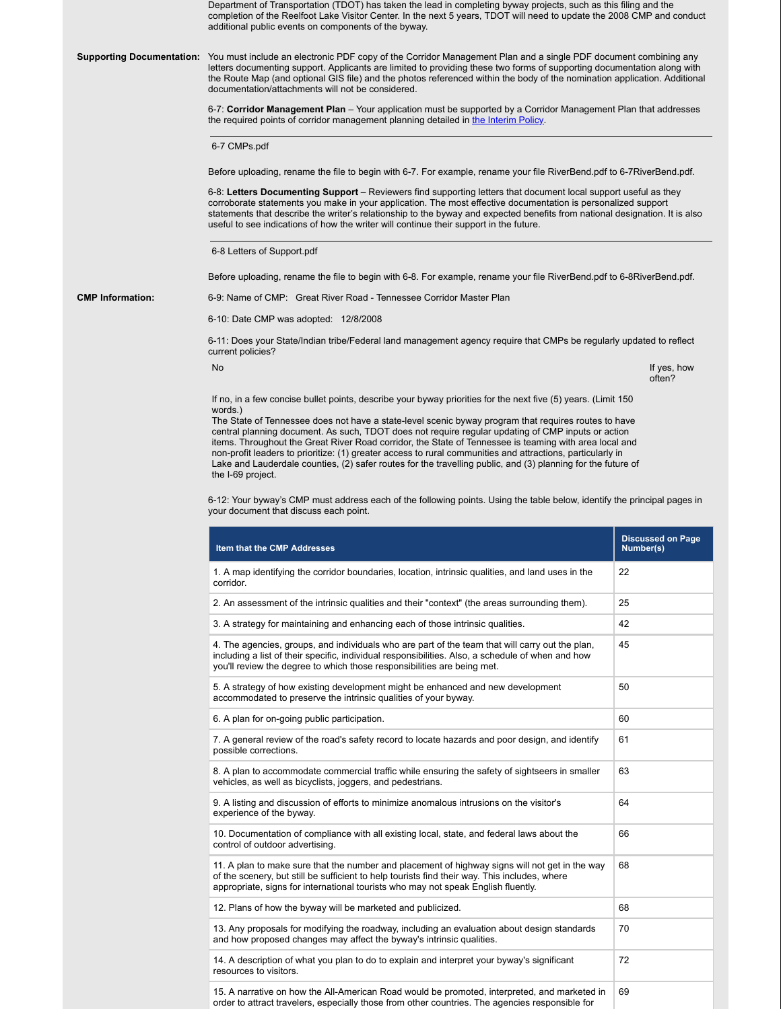Department of Transportation (TDOT) has taken the lead in completing byway projects, such as this filing and the completion of the Reelfoot Lake Visitor Center. In the next 5 years, TDOT will need to update the 2008 CMP and conduct additional public events on components of the byway.

**Supporting Documentation:** You must include an electronic PDF copy of the Corridor Management Plan and a single PDF document combining any letters documenting support. Applicants are limited to providing these two forms of supporting documentation along with the Route Map (and optional GIS file) and the photos referenced within the body of the nomination application. Additional documentation/attachments will not be considered.

> 6-7: **Corridor Management Plan** – Your application must be supported by a Corridor Management Plan that addresses the required points of corridor management planning detailed in the Interim Policy.

6-7 CMPs.pdf

Before uploading, rename the file to begin with 6-7. For example, rename your file RiverBend.pdf to 6-7RiverBend.pdf.

6-8: **Letters Documenting Support** – Reviewers find supporting letters that document local support useful as they corroborate statements you make in your application. The most effective documentation is personalized support statements that describe the writer's relationship to the byway and expected benefits from national designation. It is also useful to see indications of how the writer will continue their support in the future.

6-8 Letters of Support.pdf

Before uploading, rename the file to begin with 6-8. For example, rename your file RiverBend.pdf to 6-8RiverBend.pdf.

**CMP Information:** 6-9: Name of CMP: Great River Road - Tennessee Corridor Master Plan

6-10: Date CMP was adopted: 12/8/2008

6-11: Does your State/Indian tribe/Federal land management agency require that CMPs be regularly updated to reflect current policies?

No internal contracts the contracts of the contracts of the contracts of the contracts of the contracts of the contracts of the contracts of the contracts of the contracts of the contracts of the contracts of the contracts often?

If no, in a few concise bullet points, describe your byway priorities for the next five (5) years. (Limit 150 words.)

The State of Tennessee does not have a state-level scenic byway program that requires routes to have central planning document. As such, TDOT does not require regular updating of CMP inputs or action items. Throughout the Great River Road corridor, the State of Tennessee is teaming with area local and non-profit leaders to prioritize: (1) greater access to rural communities and attractions, particularly in Lake and Lauderdale counties, (2) safer routes for the travelling public, and (3) planning for the future of the I-69 project.

6-12: Your byway's CMP must address each of the following points. Using the table below, identify the principal pages in your document that discuss each point.

| Item that the CMP Addresses                                                                                                                                                                                                                                                          | <b>Discussed on Page</b><br>Number(s) |
|--------------------------------------------------------------------------------------------------------------------------------------------------------------------------------------------------------------------------------------------------------------------------------------|---------------------------------------|
| 1. A map identifying the corridor boundaries, location, intrinsic qualities, and land uses in the<br>corridor.                                                                                                                                                                       | 22                                    |
| 2. An assessment of the intrinsic qualities and their "context" (the areas surrounding them).                                                                                                                                                                                        | 25                                    |
| 3. A strategy for maintaining and enhancing each of those intrinsic qualities.                                                                                                                                                                                                       | 42                                    |
| 4. The agencies, groups, and individuals who are part of the team that will carry out the plan,<br>including a list of their specific, individual responsibilities. Also, a schedule of when and how<br>you'll review the degree to which those responsibilities are being met.      | 45                                    |
| 5. A strategy of how existing development might be enhanced and new development<br>accommodated to preserve the intrinsic qualities of your byway.                                                                                                                                   | 50                                    |
| 6. A plan for on-going public participation.                                                                                                                                                                                                                                         | 60                                    |
| 7. A general review of the road's safety record to locate hazards and poor design, and identify<br>possible corrections.                                                                                                                                                             | 61                                    |
| 8. A plan to accommodate commercial traffic while ensuring the safety of sightseers in smaller<br>vehicles, as well as bicyclists, joggers, and pedestrians.                                                                                                                         | 63                                    |
| 9. A listing and discussion of efforts to minimize anomalous intrusions on the visitor's<br>experience of the byway.                                                                                                                                                                 | 64                                    |
| 10. Documentation of compliance with all existing local, state, and federal laws about the<br>control of outdoor advertising.                                                                                                                                                        | 66                                    |
| 11. A plan to make sure that the number and placement of highway signs will not get in the way<br>of the scenery, but still be sufficient to help tourists find their way. This includes, where<br>appropriate, signs for international tourists who may not speak English fluently. | 68                                    |
| 12. Plans of how the byway will be marketed and publicized.                                                                                                                                                                                                                          | 68                                    |
| 13. Any proposals for modifying the roadway, including an evaluation about design standards<br>and how proposed changes may affect the byway's intrinsic qualities.                                                                                                                  | 70                                    |
| 14. A description of what you plan to do to explain and interpret your byway's significant<br>resources to visitors.                                                                                                                                                                 | 72                                    |
| 15. A narrative on how the All-American Road would be promoted, interpreted, and marketed in<br>order to attract travelers, especially those from other countries. The agencies responsible for                                                                                      | 69                                    |